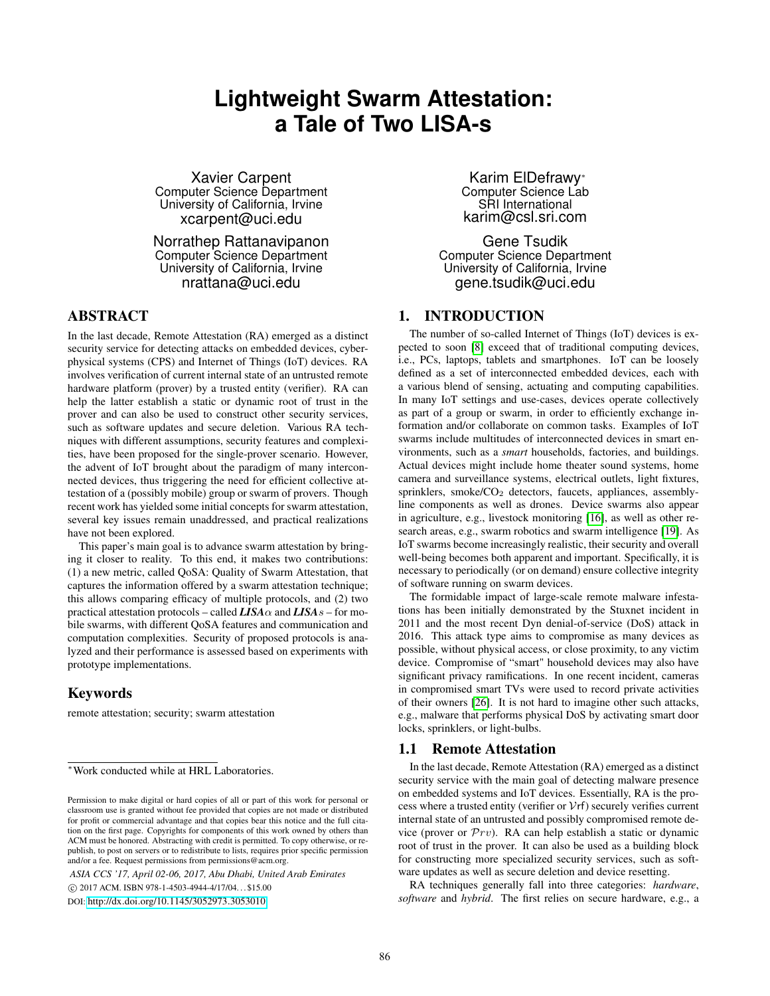# **Lightweight Swarm Attestation: a Tale of Two LISA-s**

Xavier Carpent Computer Science Department University of California, Irvine xcarpent@uci.edu

Norrathep Rattanavipanon Computer Science Department University of California, Irvine nrattana@uci.edu

### ABSTRACT

In the last decade, Remote Attestation (RA) emerged as a distinct security service for detecting attacks on embedded devices, cyberphysical systems (CPS) and Internet of Things (IoT) devices. RA involves verification of current internal state of an untrusted remote hardware platform (prover) by a trusted entity (verifier). RA can help the latter establish a static or dynamic root of trust in the prover and can also be used to construct other security services, such as software updates and secure deletion. Various RA techniques with different assumptions, security features and complexities, have been proposed for the single-prover scenario. However, the advent of IoT brought about the paradigm of many interconnected devices, thus triggering the need for efficient collective attestation of a (possibly mobile) group or swarm of provers. Though recent work has yielded some initial concepts for swarm attestation, several key issues remain unaddressed, and practical realizations have not been explored.

This paper's main goal is to advance swarm attestation by bringing it closer to reality. To this end, it makes two contributions: (1) a new metric, called QoSA: Quality of Swarm Attestation, that captures the information offered by a swarm attestation technique; this allows comparing efficacy of multiple protocols, and (2) two practical attestation protocols – called  $LISA\alpha$  and  $LISA\beta$  – for mobile swarms, with different QoSA features and communication and computation complexities. Security of proposed protocols is analyzed and their performance is assessed based on experiments with prototype implementations.

# Keywords

remote attestation; security; swarm attestation

*ASIA CCS '17, April 02-06, 2017, Abu Dhabi, United Arab Emirates*

c 2017 ACM. ISBN 978-1-4503-4944-4/17/04. . . \$15.00

DOI: http://dx.doi.org/10.[1145/3052973](http://dx.doi.org/10.1145/3052973.3053010).3053010

Karim ElDefrawy<sup>∗</sup> Computer Science Lab SRI International karim@csl.sri.com

Gene Tsudik Computer Science Department University of California, Irvine gene.tsudik@uci.edu

### 1. INTRODUCTION

The number of so-called Internet of Things (IoT) devices is expected to soon [\[8\]](#page-11-0) exceed that of traditional computing devices, i.e., PCs, laptops, tablets and smartphones. IoT can be loosely defined as a set of interconnected embedded devices, each with a various blend of sensing, actuating and computing capabilities. In many IoT settings and use-cases, devices operate collectively as part of a group or swarm, in order to efficiently exchange information and/or collaborate on common tasks. Examples of IoT swarms include multitudes of interconnected devices in smart environments, such as a *smart* households, factories, and buildings. Actual devices might include home theater sound systems, home camera and surveillance systems, electrical outlets, light fixtures, sprinklers, smoke/CO<sub>2</sub> detectors, faucets, appliances, assemblyline components as well as drones. Device swarms also appear in agriculture, e.g., livestock monitoring [\[16\]](#page-11-1), as well as other research areas, e.g., swarm robotics and swarm intelligence [\[19\]](#page-11-2). As IoT swarms become increasingly realistic, their security and overall well-being becomes both apparent and important. Specifically, it is necessary to periodically (or on demand) ensure collective integrity of software running on swarm devices.

The formidable impact of large-scale remote malware infestations has been initially demonstrated by the Stuxnet incident in 2011 and the most recent Dyn denial-of-service (DoS) attack in 2016. This attack type aims to compromise as many devices as possible, without physical access, or close proximity, to any victim device. Compromise of "smart" household devices may also have significant privacy ramifications. In one recent incident, cameras in compromised smart TVs were used to record private activities of their owners [\[26\]](#page-11-3). It is not hard to imagine other such attacks, e.g., malware that performs physical DoS by activating smart door locks, sprinklers, or light-bulbs.

### 1.1 Remote Attestation

In the last decade, Remote Attestation (RA) emerged as a distinct security service with the main goal of detecting malware presence on embedded systems and IoT devices. Essentially, RA is the process where a trusted entity (verifier or  $V$ rf) securely verifies current internal state of an untrusted and possibly compromised remote device (prover or  $\mathcal{P}rv$ ). RA can help establish a static or dynamic root of trust in the prover. It can also be used as a building block for constructing more specialized security services, such as software updates as well as secure deletion and device resetting.

RA techniques generally fall into three categories: *hardware*, *software* and *hybrid*. The first relies on secure hardware, e.g., a

<sup>∗</sup>Work conducted while at HRL Laboratories.

Permission to make digital or hard copies of all or part of this work for personal or classroom use is granted without fee provided that copies are not made or distributed for profit or commercial advantage and that copies bear this notice and the full citation on the first page. Copyrights for components of this work owned by others than ACM must be honored. Abstracting with credit is permitted. To copy otherwise, or republish, to post on servers or to redistribute to lists, requires prior specific permission and/or a fee. Request permissions from permissions@acm.org.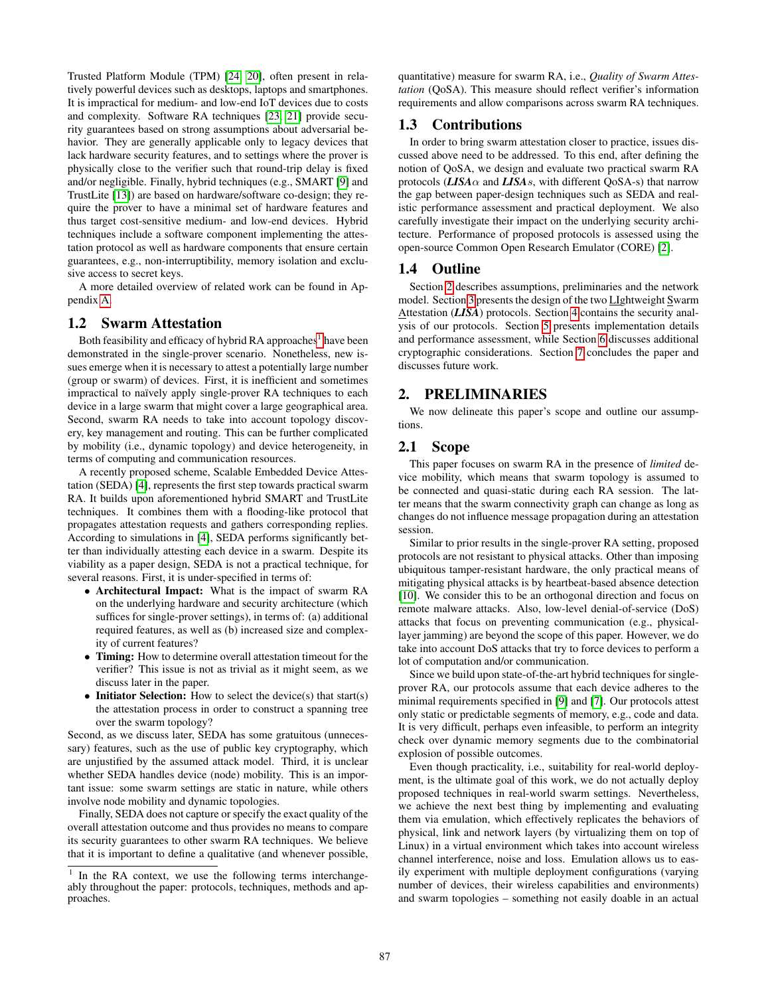Trusted Platform Module (TPM) [\[24,](#page-11-4) [20\]](#page-11-5), often present in relatively powerful devices such as desktops, laptops and smartphones. It is impractical for medium- and low-end IoT devices due to costs and complexity. Software RA techniques [\[23,](#page-11-6) [21\]](#page-11-7) provide security guarantees based on strong assumptions about adversarial behavior. They are generally applicable only to legacy devices that lack hardware security features, and to settings where the prover is physically close to the verifier such that round-trip delay is fixed and/or negligible. Finally, hybrid techniques (e.g., SMART [\[9\]](#page-11-8) and TrustLite [\[13\]](#page-11-9)) are based on hardware/software co-design; they require the prover to have a minimal set of hardware features and thus target cost-sensitive medium- and low-end devices. Hybrid techniques include a software component implementing the attestation protocol as well as hardware components that ensure certain guarantees, e.g., non-interruptibility, memory isolation and exclusive access to secret keys.

A more detailed overview of related work can be found in Appendix [A.](#page-12-0)

### 1.2 Swarm Attestation

Both feasibility and efficacy of hybrid RA approaches<sup>[1](#page-1-0)</sup> have been demonstrated in the single-prover scenario. Nonetheless, new issues emerge when it is necessary to attest a potentially large number (group or swarm) of devices. First, it is inefficient and sometimes impractical to naïvely apply single-prover RA techniques to each device in a large swarm that might cover a large geographical area. Second, swarm RA needs to take into account topology discovery, key management and routing. This can be further complicated by mobility (i.e., dynamic topology) and device heterogeneity, in terms of computing and communication resources.

A recently proposed scheme, Scalable Embedded Device Attestation (SEDA) [\[4\]](#page-11-10), represents the first step towards practical swarm RA. It builds upon aforementioned hybrid SMART and TrustLite techniques. It combines them with a flooding-like protocol that propagates attestation requests and gathers corresponding replies. According to simulations in [\[4\]](#page-11-10), SEDA performs significantly better than individually attesting each device in a swarm. Despite its viability as a paper design, SEDA is not a practical technique, for several reasons. First, it is under-specified in terms of:

- Architectural Impact: What is the impact of swarm RA on the underlying hardware and security architecture (which suffices for single-prover settings), in terms of: (a) additional required features, as well as (b) increased size and complexity of current features?
- Timing: How to determine overall attestation timeout for the verifier? This issue is not as trivial as it might seem, as we discuss later in the paper.
- Initiator Selection: How to select the device(s) that start(s) the attestation process in order to construct a spanning tree over the swarm topology?

Second, as we discuss later, SEDA has some gratuitous (unnecessary) features, such as the use of public key cryptography, which are unjustified by the assumed attack model. Third, it is unclear whether SEDA handles device (node) mobility. This is an important issue: some swarm settings are static in nature, while others involve node mobility and dynamic topologies.

Finally, SEDA does not capture or specify the exact quality of the overall attestation outcome and thus provides no means to compare its security guarantees to other swarm RA techniques. We believe that it is important to define a qualitative (and whenever possible,

quantitative) measure for swarm RA, i.e., *Quality of Swarm Attestation* (QoSA). This measure should reflect verifier's information requirements and allow comparisons across swarm RA techniques.

### 1.3 Contributions

In order to bring swarm attestation closer to practice, issues discussed above need to be addressed. To this end, after defining the notion of QoSA, we design and evaluate two practical swarm RA protocols  $(LISA\alpha$  and  $LISA$ s, with different QoSA-s) that narrow the gap between paper-design techniques such as SEDA and realistic performance assessment and practical deployment. We also carefully investigate their impact on the underlying security architecture. Performance of proposed protocols is assessed using the open-source Common Open Research Emulator (CORE) [\[2\]](#page-11-11).

### 1.4 Outline

Section [2](#page-1-1) describes assumptions, preliminaries and the network model. Section [3](#page-3-0) presents the design of the two LIghtweight Swarm Attestation (*LISA*) protocols. Section [4](#page-8-0) contains the security analysis of our protocols. Section [5](#page-9-0) presents implementation details and performance assessment, while Section [6](#page-9-1) discusses additional cryptographic considerations. Section [7](#page-11-12) concludes the paper and discusses future work.

### <span id="page-1-1"></span>2. PRELIMINARIES

We now delineate this paper's scope and outline our assumptions.

### 2.1 Scope

This paper focuses on swarm RA in the presence of *limited* device mobility, which means that swarm topology is assumed to be connected and quasi-static during each RA session. The latter means that the swarm connectivity graph can change as long as changes do not influence message propagation during an attestation session.

Similar to prior results in the single-prover RA setting, proposed protocols are not resistant to physical attacks. Other than imposing ubiquitous tamper-resistant hardware, the only practical means of mitigating physical attacks is by heartbeat-based absence detection [\[10\]](#page-11-13). We consider this to be an orthogonal direction and focus on remote malware attacks. Also, low-level denial-of-service (DoS) attacks that focus on preventing communication (e.g., physicallayer jamming) are beyond the scope of this paper. However, we do take into account DoS attacks that try to force devices to perform a lot of computation and/or communication.

Since we build upon state-of-the-art hybrid techniques for singleprover RA, our protocols assume that each device adheres to the minimal requirements specified in [\[9\]](#page-11-8) and [\[7\]](#page-11-14). Our protocols attest only static or predictable segments of memory, e.g., code and data. It is very difficult, perhaps even infeasible, to perform an integrity check over dynamic memory segments due to the combinatorial explosion of possible outcomes.

Even though practicality, i.e., suitability for real-world deployment, is the ultimate goal of this work, we do not actually deploy proposed techniques in real-world swarm settings. Nevertheless, we achieve the next best thing by implementing and evaluating them via emulation, which effectively replicates the behaviors of physical, link and network layers (by virtualizing them on top of Linux) in a virtual environment which takes into account wireless channel interference, noise and loss. Emulation allows us to easily experiment with multiple deployment configurations (varying number of devices, their wireless capabilities and environments) and swarm topologies – something not easily doable in an actual

<span id="page-1-0"></span><sup>1</sup> In the RA context, we use the following terms interchangeably throughout the paper: protocols, techniques, methods and approaches.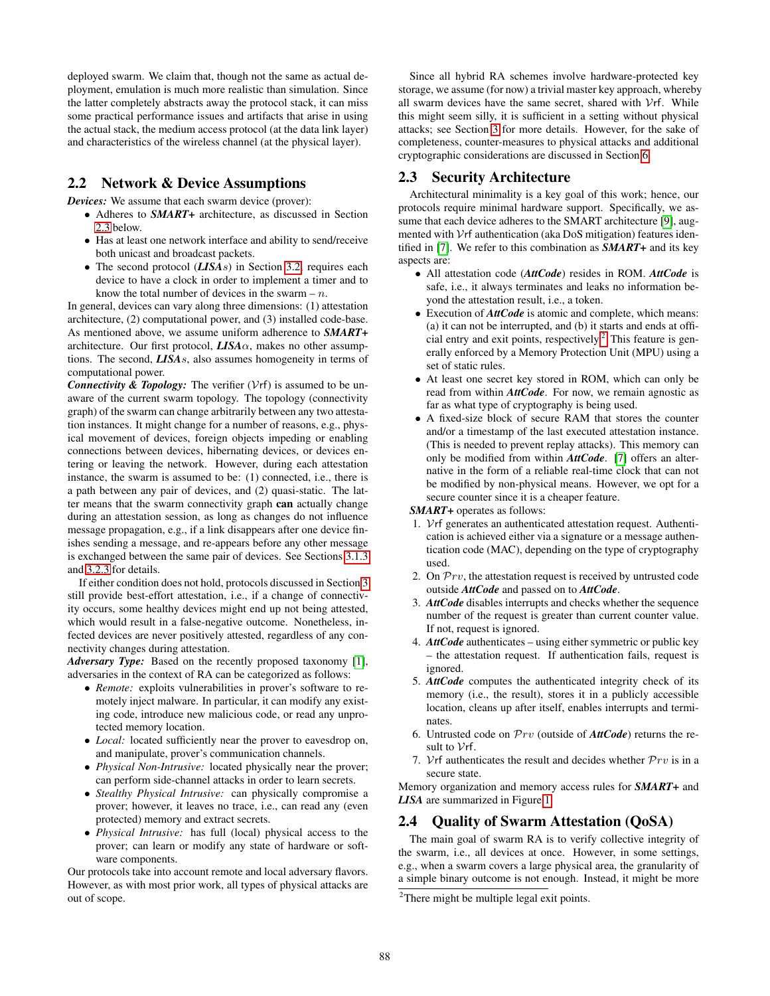deployed swarm. We claim that, though not the same as actual deployment, emulation is much more realistic than simulation. Since the latter completely abstracts away the protocol stack, it can miss some practical performance issues and artifacts that arise in using the actual stack, the medium access protocol (at the data link layer) and characteristics of the wireless channel (at the physical layer).

### <span id="page-2-2"></span>2.2 Network & Device Assumptions

*Devices:* We assume that each swarm device (prover):

- Adheres to *SMART+* architecture, as discussed in Section [2.3](#page-2-0) below.
- Has at least one network interface and ability to send/receive both unicast and broadcast packets.
- The second protocol (*LISA*s) in Section [3.2,](#page-5-0) requires each device to have a clock in order to implement a timer and to know the total number of devices in the swarm  $-n$ .

In general, devices can vary along three dimensions: (1) attestation architecture, (2) computational power, and (3) installed code-base. As mentioned above, we assume uniform adherence to *SMART+* architecture. Our first protocol, *LISA*α, makes no other assumptions. The second, *LISA*s, also assumes homogeneity in terms of computational power.

*Connectivity & Topology:* The verifier  $(Vrf)$  is assumed to be unaware of the current swarm topology. The topology (connectivity graph) of the swarm can change arbitrarily between any two attestation instances. It might change for a number of reasons, e.g., physical movement of devices, foreign objects impeding or enabling connections between devices, hibernating devices, or devices entering or leaving the network. However, during each attestation instance, the swarm is assumed to be: (1) connected, i.e., there is a path between any pair of devices, and (2) quasi-static. The latter means that the swarm connectivity graph can actually change during an attestation session, as long as changes do not influence message propagation, e.g., if a link disappears after one device finishes sending a message, and re-appears before any other message is exchanged between the same pair of devices. See Sections [3.1.3](#page-5-1) and [3.2.3](#page-7-0) for details.

If either condition does not hold, protocols discussed in Section [3](#page-3-0) still provide best-effort attestation, i.e., if a change of connectivity occurs, some healthy devices might end up not being attested, which would result in a false-negative outcome. Nonetheless, infected devices are never positively attested, regardless of any connectivity changes during attestation.

*Adversary Type:* Based on the recently proposed taxonomy [\[1\]](#page-11-15), adversaries in the context of RA can be categorized as follows:

- *Remote:* exploits vulnerabilities in prover's software to remotely inject malware. In particular, it can modify any existing code, introduce new malicious code, or read any unprotected memory location.
- *Local:* located sufficiently near the prover to eavesdrop on, and manipulate, prover's communication channels.
- *Physical Non-Intrusive:* located physically near the prover; can perform side-channel attacks in order to learn secrets.
- *Stealthy Physical Intrusive:* can physically compromise a prover; however, it leaves no trace, i.e., can read any (even protected) memory and extract secrets.
- *Physical Intrusive:* has full (local) physical access to the prover; can learn or modify any state of hardware or software components.

Our protocols take into account remote and local adversary flavors. However, as with most prior work, all types of physical attacks are out of scope.

Since all hybrid RA schemes involve hardware-protected key storage, we assume (for now) a trivial master key approach, whereby all swarm devices have the same secret, shared with  $\mathcal{V}$ rf. While this might seem silly, it is sufficient in a setting without physical attacks; see Section [3](#page-3-0) for more details. However, for the sake of completeness, counter-measures to physical attacks and additional cryptographic considerations are discussed in Section [6.](#page-9-1)

# <span id="page-2-0"></span>2.3 Security Architecture

Architectural minimality is a key goal of this work; hence, our protocols require minimal hardware support. Specifically, we assume that each device adheres to the SMART architecture [\[9\]](#page-11-8), augmented with Vrf authentication (aka DoS mitigation) features identified in [\[7\]](#page-11-14). We refer to this combination as *SMART+* and its key aspects are:

- All attestation code (*AttCode*) resides in ROM. *AttCode* is safe, i.e., it always terminates and leaks no information beyond the attestation result, i.e., a token.
- Execution of *AttCode* is atomic and complete, which means: (a) it can not be interrupted, and (b) it starts and ends at official entry and exit points, respectively. $^{2}$  $^{2}$  $^{2}$  This feature is generally enforced by a Memory Protection Unit (MPU) using a set of static rules.
- At least one secret key stored in ROM, which can only be read from within *AttCode*. For now, we remain agnostic as far as what type of cryptography is being used.
- A fixed-size block of secure RAM that stores the counter and/or a timestamp of the last executed attestation instance. (This is needed to prevent replay attacks). This memory can only be modified from within *AttCode*. [\[7\]](#page-11-14) offers an alternative in the form of a reliable real-time clock that can not be modified by non-physical means. However, we opt for a secure counter since it is a cheaper feature.

*SMART+* operates as follows:

- 1. Vrf generates an authenticated attestation request. Authentication is achieved either via a signature or a message authentication code (MAC), depending on the type of cryptography used.
- 2. On  $\mathcal{P}rv$ , the attestation request is received by untrusted code outside *AttCode* and passed on to *AttCode*.
- 3. *AttCode* disables interrupts and checks whether the sequence number of the request is greater than current counter value. If not, request is ignored.
- 4. *AttCode* authenticates using either symmetric or public key – the attestation request. If authentication fails, request is ignored
- 5. *AttCode* computes the authenticated integrity check of its memory (i.e., the result), stores it in a publicly accessible location, cleans up after itself, enables interrupts and terminates.
- 6. Untrusted code on Prv (outside of *AttCode*) returns the result to Vrf.
- 7. Vrf authenticates the result and decides whether  $\mathcal{P}rv$  is in a secure state.

Memory organization and memory access rules for *SMART+* and *LISA* are summarized in Figure [1.](#page-3-1)

### 2.4 Quality of Swarm Attestation (QoSA)

The main goal of swarm RA is to verify collective integrity of the swarm, i.e., all devices at once. However, in some settings, e.g., when a swarm covers a large physical area, the granularity of a simple binary outcome is not enough. Instead, it might be more

<span id="page-2-1"></span><sup>&</sup>lt;sup>2</sup>There might be multiple legal exit points.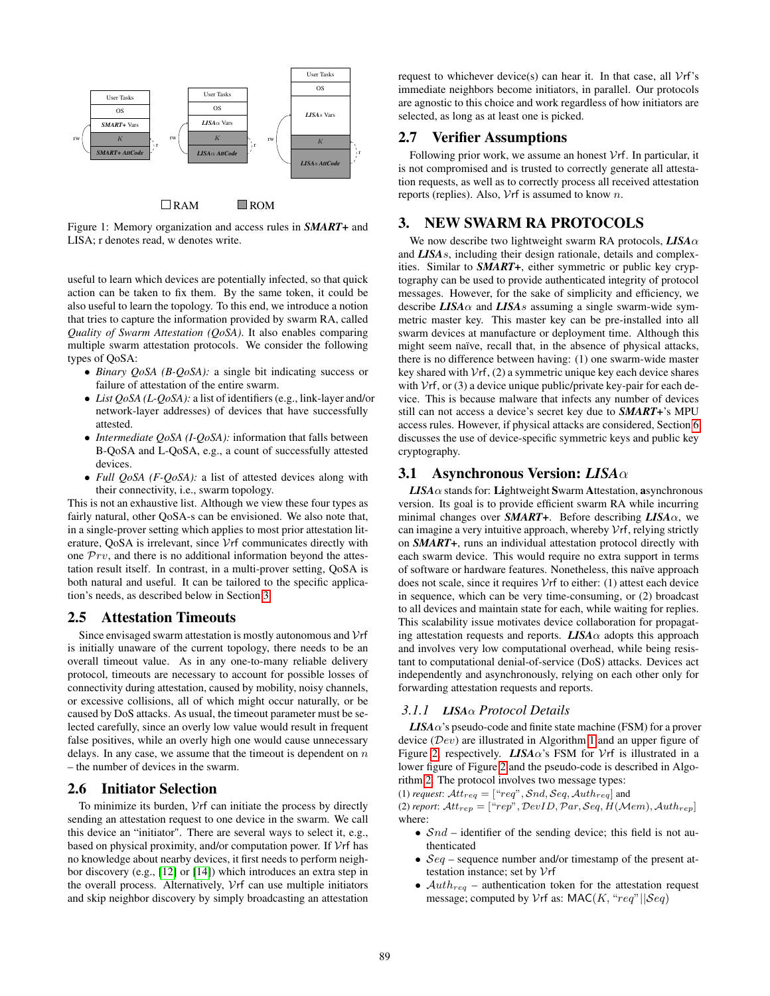<span id="page-3-1"></span>

 $\Box$ RAM  $\Box$ ROM

Figure 1: Memory organization and access rules in *SMART+* and LISA; r denotes read, w denotes write.

useful to learn which devices are potentially infected, so that quick action can be taken to fix them. By the same token, it could be also useful to learn the topology. To this end, we introduce a notion that tries to capture the information provided by swarm RA, called *Quality of Swarm Attestation (QoSA)*. It also enables comparing multiple swarm attestation protocols. We consider the following types of QoSA:

- *Binary QoSA (B-QoSA):* a single bit indicating success or failure of attestation of the entire swarm.
- *List QoSA (L-QoSA):* a list of identifiers (e.g., link-layer and/or network-layer addresses) of devices that have successfully attested.
- *Intermediate QoSA (I-QoSA):* information that falls between B-QoSA and L-QoSA, e.g., a count of successfully attested devices.
- *Full QoSA (F-QoSA):* a list of attested devices along with their connectivity, i.e., swarm topology.

This is not an exhaustive list. Although we view these four types as fairly natural, other QoSA-s can be envisioned. We also note that, in a single-prover setting which applies to most prior attestation literature, QoSA is irrelevant, since Vrf communicates directly with one  $\mathcal{P}rv$ , and there is no additional information beyond the attestation result itself. In contrast, in a multi-prover setting, QoSA is both natural and useful. It can be tailored to the specific application's needs, as described below in Section [3.](#page-3-0)

### 2.5 Attestation Timeouts

Since envisaged swarm attestation is mostly autonomous and Vrf is initially unaware of the current topology, there needs to be an overall timeout value. As in any one-to-many reliable delivery protocol, timeouts are necessary to account for possible losses of connectivity during attestation, caused by mobility, noisy channels, or excessive collisions, all of which might occur naturally, or be caused by DoS attacks. As usual, the timeout parameter must be selected carefully, since an overly low value would result in frequent false positives, while an overly high one would cause unnecessary delays. In any case, we assume that the timeout is dependent on  $n$ – the number of devices in the swarm.

### 2.6 Initiator Selection

To minimize its burden,  $Vrf$  can initiate the process by directly sending an attestation request to one device in the swarm. We call this device an "initiator". There are several ways to select it, e.g., based on physical proximity, and/or computation power. If Vrf has no knowledge about nearby devices, it first needs to perform neighbor discovery (e.g., [\[12\]](#page-11-16) or [\[14\]](#page-11-17)) which introduces an extra step in the overall process. Alternatively, Vrf can use multiple initiators and skip neighbor discovery by simply broadcasting an attestation request to whichever device(s) can hear it. In that case, all  $Vrf's$ immediate neighbors become initiators, in parallel. Our protocols are agnostic to this choice and work regardless of how initiators are selected, as long as at least one is picked.

### 2.7 Verifier Assumptions

Following prior work, we assume an honest  $Vrf$ . In particular, it is not compromised and is trusted to correctly generate all attestation requests, as well as to correctly process all received attestation reports (replies). Also,  $Vrf$  is assumed to know n.

# <span id="page-3-0"></span>3. NEW SWARM RA PROTOCOLS

We now describe two lightweight swarm RA protocols, *LISA*α and *LISA*s, including their design rationale, details and complexities. Similar to *SMART+*, either symmetric or public key cryptography can be used to provide authenticated integrity of protocol messages. However, for the sake of simplicity and efficiency, we describe  $LISA\alpha$  and  $LISA\alpha$  assuming a single swarm-wide symmetric master key. This master key can be pre-installed into all swarm devices at manufacture or deployment time. Although this might seem naïve, recall that, in the absence of physical attacks, there is no difference between having: (1) one swarm-wide master key shared with  $Vrf$ , (2) a symmetric unique key each device shares with  $Vrf$ , or (3) a device unique public/private key-pair for each device. This is because malware that infects any number of devices still can not access a device's secret key due to *SMART+*'s MPU access rules. However, if physical attacks are considered, Section [6](#page-9-1) discusses the use of device-specific symmetric keys and public key cryptography.

### 3.1 Asynchronous Version: *LISA*α

*LISA*α stands for: Lightweight Swarm Attestation, asynchronous version. Its goal is to provide efficient swarm RA while incurring minimal changes over *SMART+*. Before describing *LISA*α, we can imagine a very intuitive approach, whereby  $Vrf$ , relying strictly on *SMART+*, runs an individual attestation protocol directly with each swarm device. This would require no extra support in terms of software or hardware features. Nonetheless, this naïve approach does not scale, since it requires  $Vrf$  to either: (1) attest each device in sequence, which can be very time-consuming, or (2) broadcast to all devices and maintain state for each, while waiting for replies. This scalability issue motivates device collaboration for propagating attestation requests and reports.  $LISA\alpha$  adopts this approach and involves very low computational overhead, while being resistant to computational denial-of-service (DoS) attacks. Devices act independently and asynchronously, relying on each other only for forwarding attestation requests and reports.

### *3.1.1 LISA*α *Protocol Details*

 $LISA\alpha$ 's pseudo-code and finite state machine (FSM) for a prover device (Dev) are illustrated in Algorithm [1](#page-4-0) and an upper figure of Figure [2,](#page-4-1) respectively. *LISA* $\alpha$ 's FSM for *V*rf is illustrated in a lower figure of Figure [2](#page-4-1) and the pseudo-code is described in Algorithm [2.](#page-5-2) The protocol involves two message types:

(1) *request*:  $Att_{req} = ['req", Snd, Seq, Author_{eq}]$  and

(2) *report*:  $Att_{rep} = ['rep", DevID, Par, Seq, H(Mem), Author_{p}]$ where:

- $Snd$  identifier of the sending device; this field is not authenticated
- $Seq$  sequence number and/or timestamp of the present attestation instance; set by Vrf
- $\mathcal{A}uth_{req}$  authentication token for the attestation request message; computed by Vrf as: MAC(K, " $req" ||Seq$ )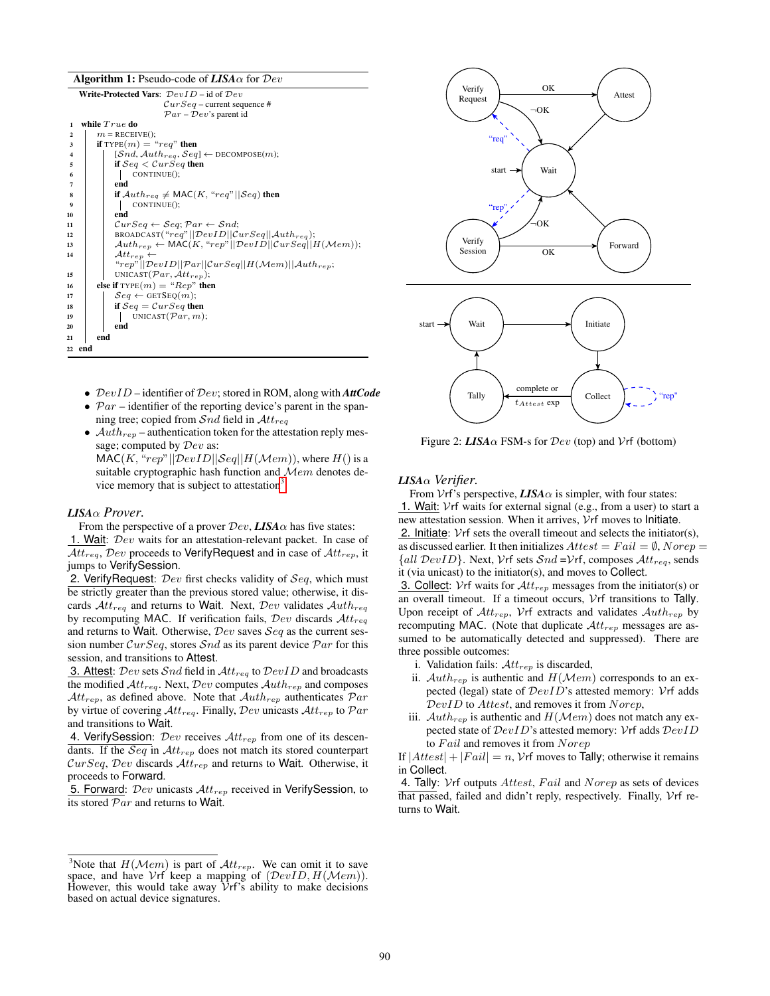| <b>Algorithm 1:</b> Pseudo-code of $LISA\alpha$ for $Dev$ |  |  |  |  |  |  |
|-----------------------------------------------------------|--|--|--|--|--|--|
|-----------------------------------------------------------|--|--|--|--|--|--|

|                         | Write-Protected Vars: $DevID - id of Dew$                                                |
|-------------------------|------------------------------------------------------------------------------------------|
|                         | $CurSeq$ – current sequence #                                                            |
|                         | $\mathcal{P}ar - \mathcal{D}ev$ 's parent id                                             |
| $\mathbf{1}$            | while $True$ do                                                                          |
| $\overline{\mathbf{2}}$ | $m = RECEIVE()$ ;                                                                        |
| 3                       | if $\text{Type}(m) = \text{``reg''}$ then                                                |
| $\overline{\mathbf{4}}$ | $[\mathcal{S}nd, \mathcal{A}uth_{rea}, \mathcal{S}eq] \leftarrow \text{DECOMPOSE}(m);$   |
| 5                       | if $\mathcal{S}eq < \mathcal{C}urSeq$ then                                               |
| 6                       | $CONTINUE()$ ;                                                                           |
| 7                       | end                                                                                      |
| 8                       | if $\mathcal{A}uth_{req} \neq \text{MAC}(K, "req"    \mathcal{S}eq)$ then                |
| 9                       | CONTINUE();                                                                              |
| 10                      | end                                                                                      |
| 11                      | $CurSeq \leftarrow Seq: Par \leftarrow Snd;$                                             |
| 12                      | BROADCAST("req"  DevID  CurSeq  Auth <sub>req</sub> );                                   |
| 13                      | $\mathcal{A}uth_{rep} \leftarrow \text{MAC}(K, "rep" DevID   CurSeq  H(\mathcal{M}em));$ |
| 14                      | $Att_{rep} \leftarrow$                                                                   |
|                         | "rep"  DevID  Par  CurSeq  H(Mem)  Auth <sub>rep</sub> ;                                 |
| 15                      | UNICAST $(\mathcal{P}ar, \mathcal{A}tt_{ren});$                                          |
| 16                      | else if $\text{Type}(m) = \text{``Rep''}$ then                                           |
| 17                      | $Seq \leftarrow$ GETSEQ $(m)$ ;                                                          |
| 18                      | if $\mathcal{S}eq = \mathcal{C}ur\mathcal{S}eq$ then                                     |
| 19                      | UNICAST $(\mathcal{P}ar, m);$                                                            |
| 20                      | end                                                                                      |
| 21                      | end                                                                                      |
|                         | 22 end                                                                                   |
|                         |                                                                                          |

- <span id="page-4-0"></span>• DevID – identifier of Dev; stored in ROM, along with *AttCode*
- $Par -$  identifier of the reporting device's parent in the spanning tree; copied from  $Snd$  field in  $Att_{req}$
- $\mathcal{A}uth_{rep}$  authentication token for the attestation reply message; computed by  $Dev$  as:

 $MAC(K, "rep" || DevID || Seq|| H(Mem)),$  where  $H()$  is a suitable cryptographic hash function and  $Mem$  denotes de-vice memory that is subject to attestation<sup>[3](#page-4-2)</sup>.

#### *LISA*α *Prover.*

From the perspective of a prover Dev, *LISA*α has five states: 1. Wait: Dev waits for an attestation-relevant packet. In case of  $Att_{req}$ , Dev proceeds to VerifyRequest and in case of  $Att_{rep}$ , it jumps to VerifySession.

2. VerifyRequest:  $Dev$  first checks validity of  $Seq$ , which must be strictly greater than the previous stored value; otherwise, it discards  $Att_{req}$  and returns to Wait. Next,  $Dev$  validates  $Auth_{req}$ by recomputing MAC. If verification fails,  $Dev$  discards  $Att_{req}$ and returns to Wait. Otherwise,  $Dev$  saves  $Seq$  as the current session number  $CurSeq$ , stores  $Snd$  as its parent device  $Par$  for this session, and transitions to Attest.

3. Attest:  $Dev$  sets  $Snd$  field in  $Att_{req}$  to  $DevID$  and broadcasts the modified  $Att_{req}$ . Next,  $Dev$  computes  $Auth_{rep}$  and composes  $Att_{rep}$ , as defined above. Note that  $Auth_{rep}$  authenticates  $Par$ by virtue of covering  $\mathcal{A}tt_{req}$ . Finally,  $\mathcal{D}ev$  unicasts  $\mathcal{A}tt_{rep}$  to  $\mathcal{P}ar$ and transitions to Wait.

4. VerifySession:  $Dev$  receives  $Att_{rep}$  from one of its descendants. If the Seq in  $Att_{rep}$  does not match its stored counterpart  $CurSeq$ , Dev discards  $Att_{rep}$  and returns to Wait. Otherwise, it proceeds to Forward.

5. Forward:  $Dev$  unicasts  $Att_{rep}$  received in VerifySession, to its stored  $\mathcal{P}ar$  and returns to Wait.

<span id="page-4-1"></span>

Figure 2:  $LISA\alpha$  FSM-s for  $Dev$  (top) and  $Vrf$  (bottom)

#### *LISA*α *Verifier.*

From  $Vf'$ 's perspective, *LISA* $\alpha$  is simpler, with four states: 1. Wait:  $Vrf$  waits for external signal (e.g., from a user) to start a new attestation session. When it arrives, Vrf moves to Initiate. 2. Initiate:  $Vrf$  sets the overall timeout and selects the initiator(s), as discussed earlier. It then initializes  $Attest = Fail = \emptyset$ , Norep =

 ${all DevID}$ . Next, Vrf sets  $Snd = Vrf$ , composes  $Att_{req}$ , sends it (via unicast) to the initiator(s), and moves to Collect.

3. Collect: Vrf waits for  $Att_{rep}$  messages from the initiator(s) or an overall timeout. If a timeout occurs, Vrf transitions to Tally. Upon receipt of  $Att_{rep}$ , Vrf extracts and validates  $Auth_{rep}$  by recomputing MAC. (Note that duplicate  $Att_{rep}$  messages are assumed to be automatically detected and suppressed). There are three possible outcomes:

- i. Validation fails:  $Att_{rep}$  is discarded,
- ii.  $\mathcal{A}uth_{rep}$  is authentic and  $H(\mathcal{M}em)$  corresponds to an expected (legal) state of  $DevID$ 's attested memory:  $V$ rf adds DevID to Attest, and removes it from Norep,
- iii.  $\mathcal{A}uth_{rep}$  is authentic and  $H(\mathcal{M}em)$  does not match any expected state of DevID's attested memory: Vrf adds DevID to  $Fall$  and removes it from  $Norep$

If  $|Attest| + |Fail| = n$ , Vrf moves to Tally; otherwise it remains in Collect.

4. Tally:  $V$ rf outputs  $Attest$ ,  $Fall$  and  $Norep$  as sets of devices that passed, failed and didn't reply, respectively. Finally, Vrf returns to Wait.

<span id="page-4-2"></span><sup>&</sup>lt;sup>3</sup>Note that  $H(\mathcal{M}em)$  is part of  $\mathcal{A}tt_{rep}$ . We can omit it to save space, and have Vrf keep a mapping of  $(\mathcal{D}evID, H(\mathcal{M}em))$ . However, this would take away  $\hat{V}$ rf's ability to make decisions based on actual device signatures.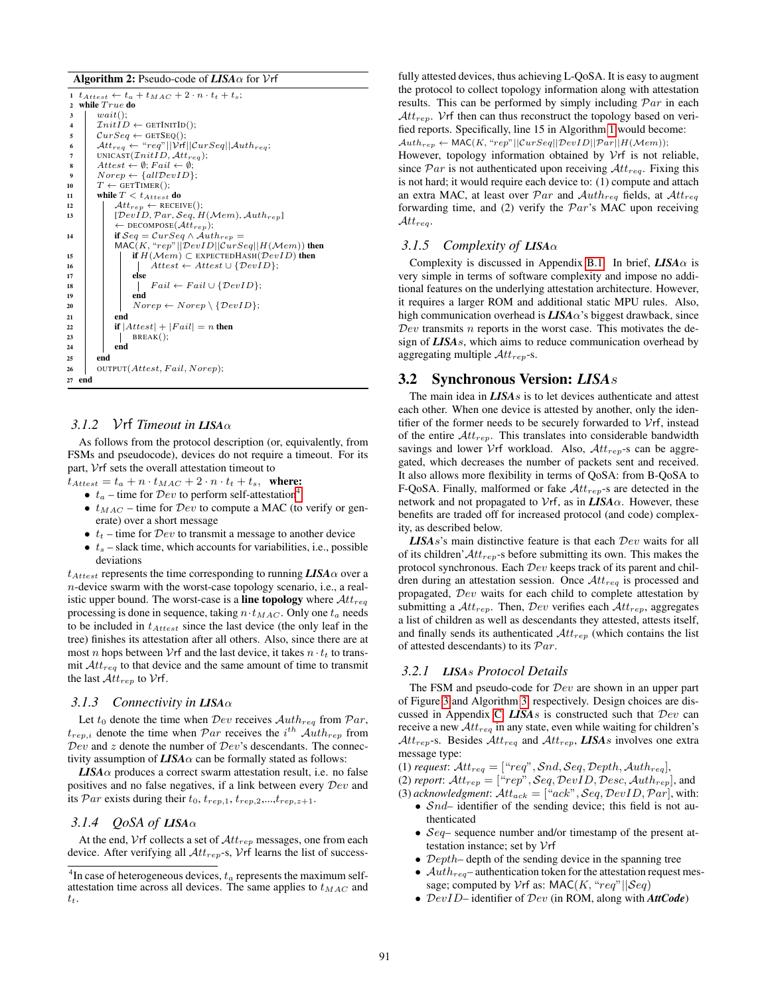#### Algorithm 2: Pseudo-code of *LISA*α for Vrf

1  $t_{Attest} \leftarrow t_a + t_{MAC} + 2 \cdot n \cdot t_t + t_s;$  $\sqrt{2}$  while  $True$  do  $3 | wait();$ 4  $InitID \leftarrow GETINITID();$ <br>5  $CurSeq \leftarrow GETSED(:$  $CurSeq \leftarrow$  GETSEQ();  $\mathcal{A}tt_{req} \leftarrow "req" || \mathcal{V}rf || \mathcal{C}urSeq || \mathcal{A}uth_{req};$ 7 UNICAST $(\text{InitID}, \text{Att}_{req});$ <br>8 Attest  $\leftarrow \emptyset$ : Fail  $\leftarrow \emptyset$ :  $Attest \leftarrow \emptyset; Fall \leftarrow \emptyset;$ 9  $\begin{array}{l} \text{Norep} \leftarrow \{allDevID\};\\ \text{10} \qquad T \leftarrow \text{GETTIMER}(); \end{array}$  $T \leftarrow \text{GETTIMER}();$ 11 while  $T < t_{Attest}$  do<br>
12  $\left| \begin{array}{c} \text{while } T < t_{Attest} \\ \text{At} \\ \text{At} \\ \text{tree} \end{array} \right|$  $Att_{rep} \leftarrow \text{RECEIVE}();$ 13  $[DevID, Par, Seq, H(Mem), Author_{rep}]$  $\vdash$  DECOMPOSE( $Att_{rep}$ ); 14 **if**  $Seq = CurSeq \wedge \hat{A}uth_{rep}$  $MAC(K, "rep" || DevID || Curseq || H(Mem))$  then 15 **i** if  $H(\mathcal{M}em) \subset$  EXPECTEDHASH $(\mathcal{D}evID)$  then 16 | | |  $Attest \leftarrow Attest \cup \{DevID\};$  $_{17}$  | | else 18  $\vert \vert \vert$   $\vert$  Fail ← Fail  $\cup$  {DevID}; 19 | | | end 20 | | Norep ← Norep \ { $\mathcal{D}evID$ };  $21$  end 22 **if**  $|Attest| + |Fail| = n$  then 23 | | BREAK(); 24 end  $25$  end 26 | OUTPUT $(Attest, Tail, Norep);$ 27 end

#### <span id="page-5-2"></span>*3.1.2* Vrf *Timeout in LISA*α

As follows from the protocol description (or, equivalently, from FSMs and pseudocode), devices do not require a timeout. For its part, Vrf sets the overall attestation timeout to

 $t_{Attest} = t_a + n \cdot t_{MAC} + 2 \cdot n \cdot t_t + t_s$ , where:

- $t_a$  time for  $Dev$  to perform self-attestation<sup>[4](#page-5-3)</sup>
- $t_{MAC}$  time for  $Dev$  to compute a MAC (to verify or generate) over a short message
- $t_t$  time for  $Dev$  to transmit a message to another device
- $t_s$  slack time, which accounts for variabilities, i.e., possible deviations

 $t_{Attest}$  represents the time corresponding to running  $LISA\alpha$  over a n-device swarm with the worst-case topology scenario, i.e., a realistic upper bound. The worst-case is a line topology where  $Att_{req}$ processing is done in sequence, taking  $n \cdot t_{MAC}$ . Only one  $t_a$  needs to be included in  $t_{Attest}$  since the last device (the only leaf in the tree) finishes its attestation after all others. Also, since there are at most *n* hops between Vrf and the last device, it takes  $n \cdot t_t$  to transmit  $Att_{req}$  to that device and the same amount of time to transmit the last  $Att_{rep}$  to  $V$ rf.

### <span id="page-5-1"></span>*3.1.3 Connectivity in LISA*α

Let  $t_0$  denote the time when  $Dev$  receives  $\mathcal{A}uth_{req}$  from  $Par$ ,  $t_{rep,i}$  denote the time when  $Par$  receives the  $i^{th}$   $\mathcal{A}uth_{rep}$  from  $Dev$  and  $z$  denote the number of  $Dev$ 's descendants. The connectivity assumption of  $LISA\alpha$  can be formally stated as follows:

 $LISA\alpha$  produces a correct swarm attestation result, i.e. no false positives and no false negatives, if a link between every Dev and its Par exists during their  $t_0$ ,  $t_{rep,1}$ ,  $t_{rep,2}$ ,..., $t_{rep,z+1}$ .

### *3.1.4 QoSA of LISA*α

At the end, Vrf collects a set of  $Att_{rep}$  messages, one from each device. After verifying all  $Att_{rep}$ -s, Vrf learns the list of successfully attested devices, thus achieving L-QoSA. It is easy to augment the protocol to collect topology information along with attestation results. This can be performed by simply including  $\mathcal{P}ar$  in each  $Att_{rep}$ . Vrf then can thus reconstruct the topology based on verified reports. Specifically, line 15 in Algorithm [1](#page-4-0) would become:  $\mathcal{A}uth_{rep} \leftarrow \text{MAC}(K, "rep" || \mathcal{C}urSeq || \mathcal{D}evID || \mathcal{P}ar || H(\mathcal{M}em));$ 

However, topology information obtained by Vrf is not reliable, since  $Par$  is not authenticated upon receiving  $Att_{req}$ . Fixing this is not hard; it would require each device to: (1) compute and attach an extra MAC, at least over  $\mathcal{P}ar$  and  $\mathcal{A}uth_{req}$  fields, at  $\mathcal{A}tt_{req}$ forwarding time, and (2) verify the  $\mathcal{P}ar$ 's MAC upon receiving  $\mathcal{A}tt_{reg}.$ 

### *3.1.5 Complexity of LISA*α

Complexity is discussed in Appendix [B.1.](#page-12-1) In brief,  $LISA\alpha$  is very simple in terms of software complexity and impose no additional features on the underlying attestation architecture. However, it requires a larger ROM and additional static MPU rules. Also, high communication overhead is  $LISA\alpha$ 's biggest drawback, since  $Dev$  transmits  $n$  reports in the worst case. This motivates the design of *LISA*s, which aims to reduce communication overhead by aggregating multiple  $Att_{ren}$ -s.

### <span id="page-5-0"></span>3.2 Synchronous Version: *LISA*s

The main idea in *LISA*s is to let devices authenticate and attest each other. When one device is attested by another, only the identifier of the former needs to be securely forwarded to Vrf, instead of the entire  $Att_{rep}$ . This translates into considerable bandwidth savings and lower Vrf workload. Also,  $Att_{rep}$ -s can be aggregated, which decreases the number of packets sent and received. It also allows more flexibility in terms of QoSA: from B-QoSA to F-QoSA. Finally, malformed or fake  $Att_{rep}$ -s are detected in the network and not propagated to  $Vrf$ , as in  $LISA\alpha$ . However, these benefits are traded off for increased protocol (and code) complexity, as described below.

*LISA*s's main distinctive feature is that each Dev waits for all of its children'  $Att_{rep}$ -s before submitting its own. This makes the protocol synchronous. Each Dev keeps track of its parent and children during an attestation session. Once  $Att_{req}$  is processed and propagated, Dev waits for each child to complete attestation by submitting a  $Att_{rep}$ . Then,  $Dev$  verifies each  $Att_{rep}$ , aggregates a list of children as well as descendants they attested, attests itself, and finally sends its authenticated  $\mathcal{A}tt_{rep}$  (which contains the list of attested descendants) to its  $\mathcal{P}ar$ .

#### *3.2.1 LISA*s *Protocol Details*

The FSM and pseudo-code for  $Dev$  are shown in an upper part of Figure [3](#page-6-0) and Algorithm [3,](#page-6-1) respectively. Design choices are discussed in Appendix [C.](#page-13-0) *LISA*s is constructed such that Dev can receive a new  $Att_{req}$  in any state, even while waiting for children's  $Att_{rep}$ -s. Besides  $Att_{req}$  and  $Att_{rep}$ , *LISAs* involves one extra message type:

(1) *request*:  $Att_{req} = ['req", Snd, Seq, Depth, Author_{eq}],$ 

(2) *report*:  $Att_{rep} = ['rep", Seq, DevID, Desc, Author_{ep}],$  and (3) *acknowledgment*:  $Att_{ack} = ['ack", Seq, DevID, Par]$ , with:

- $Snd-$  identifier of the sending device; this field is not authenticated
- $Seq-$  sequence number and/or timestamp of the present attestation instance; set by Vrf
- Depth– depth of the sending device in the spanning tree
- $\mathcal{A}uth_{req}$  authentication token for the attestation request message; computed by  $Vrf$  as: MAC(K, "req" | $\vert Seq$ )
- DevID– identifier of Dev (in ROM, along with *AttCode*)

<span id="page-5-3"></span><sup>&</sup>lt;sup>4</sup>In case of heterogeneous devices,  $t_a$  represents the maximum selfattestation time across all devices. The same applies to  $t_{MAC}$  and  $t_t$ .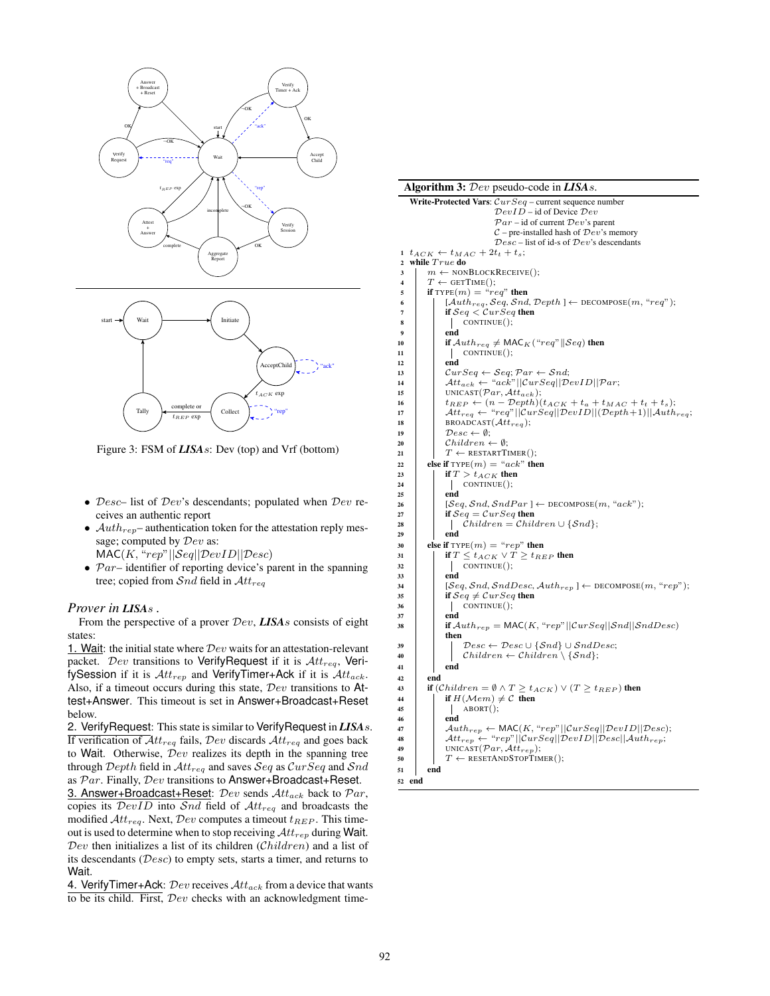<span id="page-6-0"></span>



Figure 3: FSM of *LISA*s: Dev (top) and Vrf (bottom)

- Desc- list of  $Dev's$  descendants; populated when  $Dev$  receives an authentic report
- $\mathcal{A}uth_{rep}$  authentication token for the attestation reply message; computed by  $Dev$  as:

<span id="page-6-16"></span><span id="page-6-15"></span><span id="page-6-12"></span><span id="page-6-11"></span><span id="page-6-3"></span> $MAC(K, "rep"|Seq||DevID||Desc)$ 

•  $Par-$  identifier of reporting device's parent in the spanning tree; copied from  $Snd$  field in  $Att_{req}$ 

#### *Prover in LISA*s *.*

From the perspective of a prover Dev, *LISA*s consists of eight states:

1. Wait: the initial state where  $Dev$  waits for an attestation-relevant packet. Dev transitions to VerifyRequest if it is  $Att_{req}$ , VerifySession if it is  $Att_{rep}$  and VerifyTimer+Ack if it is  $Att_{ack}$ . Also, if a timeout occurs during this state, Dev transitions to Attest+Answer. This timeout is set in Answer+Broadcast+Reset below.

<span id="page-6-18"></span><span id="page-6-17"></span><span id="page-6-2"></span>2. VerifyRequest: This state is similar to VerifyRequest in *LISA*s. If verification of  $\bar{\mathcal{A}}tt_{req}$  fails,  $\mathcal{D}ev$  discards  $\mathcal{A}tt_{req}$  and goes back to Wait. Otherwise, Dev realizes its depth in the spanning tree through Depth field in  $Att_{req}$  and saves Seq as  $CurSeq$  and Snd as  $Par.$  Finally,  $Dev$  transitions to Answer+Broadcast+Reset. 3. Answer+Broadcast+Reset:  $Dev$  sends  $Att_{ack}$  back to  $Par$ ,

<span id="page-6-1"></span>copies its  $DevID$  into Snd field of  $Att_{req}$  and broadcasts the modified  $Att_{req}$ . Next,  $Dev$  computes a timeout  $t_{REF}$ . This timeout is used to determine when to stop receiving  $Att_{rep}$  during Wait. Dev then initializes a list of its children  $(Children)$  and a list of its descendants (Desc) to empty sets, starts a timer, and returns to Wait.

4. VerifyTimer+Ack:  $Dev$  receives  $Att_{ack}$  from a device that wants to be its child. First, Dev checks with an acknowledgment time-

```
Algorithm 3: Dev pseudo-code in LISAs.
     Write-Protected Vars: CurSeq – current sequence number
                                    DevID - id of Device Dev\mathcal{P}ar – id of current \mathcal{D}ev's parent
                                    C – pre-installed hash of Dev's memoryDesc – list of id-s of Dev's descendants
 1 t_{ACK} \leftarrow t_{MAC} + 2t_t + t_s;<br>2 while True do
     while True do
 3 m \leftarrow \text{NONBLOCKRECEIVE}<br>4 T \leftarrow \text{GETTime} ():
           T \leftarrow GETTIME();
 5 if TYPE(m) = \frac{m}{r}eq^n then
  6 \blacksquare [Auth<sub>req</sub>, Seq, Snd, Depth ] \leftarrow DECOMPOSE(m, \text{``req''});<br>
if Seq < CurSeq then
 8 CONTINUE();
 9 end
10 if \mathcal{A}uth_{req} \neq \mathsf{MAC}_K("req" \| \mathcal{S}eq) then
11 | CONTINUE();
12 end
 13 \left[\begin{array}{c} \mathcal{C}urSeq \leftarrow \mathcal{S}eq; \mathcal{P}ar \leftarrow \mathcal{S}nd; \ \mathcal{A}tt_{ack} \leftarrow \text{``ack"} || \mathcal{C}urSeq || \mathcal{D}evID || \mathcal{P}ar; \end{array}\right)15 | UNICAST(Par, Att_{ack});16 t_{REP} \leftarrow (n - \mathcal{D}epth)(t_{ACK} + t_a + t_{MAC} + t_t + t_s);17 \left|\int_{\mathcal{A}t} H_{req} \leftarrow "req" || \mathcal{C}urSeq || \mathcal{D}evID || (\mathcal{D}epth+1) || \mathcal{A}uth_{req};18 BROADCAST(Att_{req});<br>19 Desc \leftarrow \emptyset:
                  Desc \leftarrow \emptyset;
20 Children \leftarrow \emptyset;
21 T \leftarrow \text{RESTARTTIMER}();22 else if TYPE(m) = \alpha c k^m then<br>
23 if T > t_{ACK} then
23 if T > t_{ACK} then<br>24 continue();
                        CONTINUE();
\begin{array}{c|c} 25 & \text{end} \\ 26 & \text{S}e \end{array}[\mathcal Seq, \mathcal End, \mathcal SndPar] \leftarrow \texttt{DECOMPOSE}(m, \text{``ack''});27 if \mathcal{S}eq = CurSeq then<br>
28 if \mathcal{S}eq = CurSeq then<br>
\mathcal{S}children = Chili| Children = Children ∪ {Snd};
29 end
30 else if \text{Type}(m) = \text{``rep''} then
30 if T \leq t_{ACK} \vee T \geq t_{REF} then
32 CONTINUE();
33 end
34 \Big|\Big| [Seq, Snd, SndDesc, Auth<sub>rep</sub>] ← DECOMPOSE(m, "rep");35 if \mathcal{S}eq \neq \mathcal{C}ur\mathcal{S}eq then
36 | | CONTINUE();
37 end
38 i if \mathcal{A}uth_{rep} = \text{MAC}(K, "rep" || CurSeq || \mathcal{S}nd || \mathcal{S}ndDesc)then
39 | | Desc \leftarrow Desc \cup \{Snd\} \cup SndDesc;40 Children ← Children \ {Snd};
41 end
42 end
43 if (Children = \emptyset \wedge T \geq t_{ACK}) \vee (T \geq t_{REF}) then<br>44 if H(\mathcal{M}em) \neq C then
                 if H(\mathcal{M}em) \neq \mathcal{C} then
45 \vert \vert ABORT();
46 end
47 \left| \left| \begin{array}{c} \text{Aut } h_{rep} \leftarrow \text{MAC}(K, \text{``rep''} || \text{CurSeq} || \text{DevID} || \text{DevID} || \text{Desc}) ;\ \text{At } t_{-1} \leftarrow \text{``rep''} || \text{CurSeq} || \text{DevID} || \text{Desc} || \text{Aut } h_{-1} .\ \end{array} \right|\right|Att_{rep} \leftarrow "rep" || CurSeq|| DevID||Desc||Auth_{rep};49 UNICAST(\mathcal{P}ar, \mathcal{A}tt_{rep});<br>50 T \leftarrow \text{RESTANDSTOPT}T \leftarrow RESETANDSTOPTIMER():
51 end
52 end
```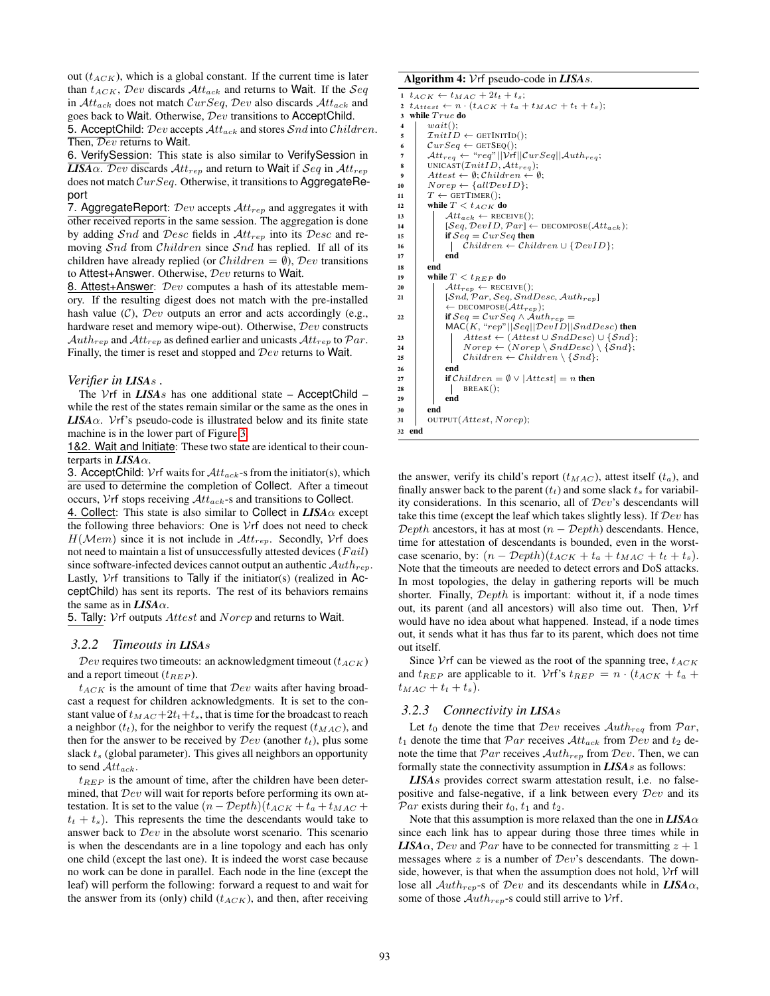out  $(t_{ACK})$ , which is a global constant. If the current time is later than  $t_{ACK}$ , Dev discards  $Att_{ack}$  and returns to Wait. If the Seq in  $Att_{ack}$  does not match  $CurSeq$ ,  $Dev$  also discards  $Att_{ack}$  and goes back to Wait. Otherwise, Dev transitions to AcceptChild.

5. AcceptChild:  $Dev$  accepts  $Att_{ack}$  and stores  $Snd$  into  $Children$ . Then, Dev returns to Wait.

6. VerifySession: This state is also similar to VerifySession in  $\overline{LISA\alpha}$ . Dev discards  $Att_{rep}$  and return to Wait if Seq in  $Att_{rep}$ does not match  $CurSeq$ . Otherwise, it transitions to AggregateReport

7. AggregateReport:  $Dev$  accepts  $Att_{rep}$  and aggregates it with other received reports in the same session. The aggregation is done by adding  $Snd$  and  $Desc$  fields in  $Att_{rep}$  into its  $Desc$  and removing Snd from Children since Snd has replied. If all of its children have already replied (or  $Children = \emptyset$ ),  $Dev$  transitions to Attest+Answer. Otherwise, Dev returns to Wait.

8. Attest+Answer: Dev computes a hash of its attestable memory. If the resulting digest does not match with the pre-installed hash value  $(C)$ ,  $Dev$  outputs an error and acts accordingly (e.g., hardware reset and memory wipe-out). Otherwise,  $Dev$  constructs  $\mathcal{A}uth_{rep}$  and  $\mathcal{A} tt_{rep}$  as defined earlier and unicasts  $\mathcal{A} tt_{rep}$  to  $\mathcal{P}ar$ . Finally, the timer is reset and stopped and  $Dev$  returns to Wait.

#### *Verifier in LISA*s *.*

The  $V$ rf in *LISAs* has one additional state – AcceptChild – while the rest of the states remain similar or the same as the ones in  $LISA\alpha$ . Vrf's pseudo-code is illustrated below and its finite state machine is in the lower part of Figure [3.](#page-6-0)

1&2. Wait and Initiate: These two state are identical to their counterparts in *LISA*α.

3. AcceptChild: Vrf waits for  $Att_{ack}$ -s from the initiator(s), which are used to determine the completion of Collect. After a timeout occurs, Vrf stops receiving  $Att_{ack}$ -s and transitions to Collect.

4. Collect: This state is also similar to Collect in *LISA*α except the following three behaviors: One is Vrf does not need to check  $H(\mathcal{M}em)$  since it is not include in  $\mathcal{A}tt_{rep}$ . Secondly,  $\mathcal{V}$ rf does not need to maintain a list of unsuccessfully attested devices  $(Fail)$ since software-infected devices cannot output an authentic  $\mathcal{A}uth_{rep}$ . Lastly,  $V$ rf transitions to Tally if the initiator(s) (realized in AcceptChild) has sent its reports. The rest of its behaviors remains the same as in  $LISA\alpha$ .

5. Tally:  $V$ rf outputs  $Attest$  and  $Norep$  and returns to Wait.

### *3.2.2 Timeouts in LISA*s

 $Dev$  requires two timeouts: an acknowledgment timeout  $(t_{ACK})$ and a report timeout  $(t_{REF})$ .

 $t_{ACK}$  is the amount of time that  $Dev$  waits after having broadcast a request for children acknowledgments. It is set to the constant value of  $t_{MAC} + 2t_t + t_s$ , that is time for the broadcast to reach a neighbor  $(t_t)$ , for the neighbor to verify the request  $(t_{MAC})$ , and then for the answer to be received by  $Dev$  (another  $t<sub>t</sub>$ ), plus some slack  $t_s$  (global parameter). This gives all neighbors an opportunity to send  $\mathcal{A}tt_{ack}$ .

 $t_{REF}$  is the amount of time, after the children have been determined, that  $Dev$  will wait for reports before performing its own attestation. It is set to the value  $(n - \mathcal{D}epth)(t_{ACK} + t_a + t_{MAC} +$  $t_t + t_s$ ). This represents the time the descendants would take to answer back to Dev in the absolute worst scenario. This scenario is when the descendants are in a line topology and each has only one child (except the last one). It is indeed the worst case because no work can be done in parallel. Each node in the line (except the leaf) will perform the following: forward a request to and wait for the answer from its (only) child  $(t_{ACK})$ , and then, after receiving

#### Algorithm 4: Vrf pseudo-code in *LISA*s.

```
1 t_{ACK} \leftarrow t_{MAC} + 2t_t + t_s;2 t_{Attest} \leftarrow n \cdot (t_{ACK} + t_a + t_{MAC} + t_t + t_s);<br>3 while True do
     while True do
 4 wait()InitID \leftarrow GETINITID();CurSeq \leftarrow GETSEQ();
             Att_{req} \leftarrow "req" || Vrf || CurSeq || Auth_{req};8 UNICAST(\mathcal{I}nitID, \mathcal{A}tt_{req});<br>9 \mathcal{A}ttest \leftarrow \emptyset; Children \leftarrow \emptyset;10 Norep \leftarrow \{allDevID\};<br>11 T \leftarrow GETIMER();11 T \leftarrow \text{GETTIMER}();<br>12 while T < t_{ACK}while T < t_{ACK} do
13 Att_{ack} \leftarrow \text{RECEIVE}();<br>
14 [Seq, DevID, Par] \leftarrow14 [Seq, DevID, Par] \leftarrow \text{DECOMPOSE}(\mathcal{A}tt_{ack});<br>
15 \text{if } Seq = CurSeq \text{ then}15 if \mathcal{S}eq = CurSeq then<br>
16 if \mathcal{S}eq = CurSeq then<br>
\Box Children \leftarrow Child16 | Children ← Children ∪ {DevID};<br>17 | end
                    end
18 end
19 while T < t_{REF} do<br>
20 Attree \leftarrow RECI
 20 \begin{array}{|l|} \hline \end{array} \begin{array}{c} \text{At } t_{rep} \leftarrow \text{RECEIVE}();\ \hline \end{array} \begin{array}{c} \text{20} \left[ \text{Snd}, \mathcal{P}ar, \text{Seq}, \text{SndDesc}, \text{Aut}h_{rep} \right] \hline \end{array}- DECOMPOSE(Att_{rep});
 22 if Seq = CurSeq \wedge Author_{rep} = \text{MAC}(K, "rep" || Seq|| DevID || SndDesc) then
 23 Attest ← (Attest ∪ SndDesc) ∪ {Snd};<br>
Norep ← (Norep \ SndDesc) \ {Snd};
25 | Children ← Children \ {Snd};
\begin{array}{c|c} 26 & \text{end} \\ 27 & \text{if } C \end{array}if Children = \emptyset \vee |Attest| = n then
\begin{array}{c|c} 28 & \text{BREAK} \end{array} and
                    end
30 end
31 OUTPUT(Attest, Norep);
32 end
```
the answer, verify its child's report  $(t_{MAC})$ , attest itself  $(t_a)$ , and finally answer back to the parent  $(t_t)$  and some slack  $t_s$  for variability considerations. In this scenario, all of Dev's descendants will take this time (except the leaf which takes slightly less). If  $Dev$  has  $Depth$  ancestors, it has at most  $(n - Depth)$  descendants. Hence, time for attestation of descendants is bounded, even in the worstcase scenario, by:  $(n - \mathcal{D}epth)(t_{ACK} + t_a + t_{MAC} + t_t + t_s).$ Note that the timeouts are needed to detect errors and DoS attacks. In most topologies, the delay in gathering reports will be much shorter. Finally,  $Depth$  is important: without it, if a node times out, its parent (and all ancestors) will also time out. Then, Vrf would have no idea about what happened. Instead, if a node times out, it sends what it has thus far to its parent, which does not time out itself.

Since Vrf can be viewed as the root of the spanning tree,  $t_{ACK}$ and  $t_{REP}$  are applicable to it. Vrf's  $t_{REP} = n \cdot (t_{ACK} + t_a + t_a)$  $t_{MAC} + t_t + t_s$ ).

#### <span id="page-7-0"></span>*3.2.3 Connectivity in LISA*s

Let  $t_0$  denote the time that  $Dev$  receives  $\mathcal{A}uth_{req}$  from  $Par$ ,  $t_1$  denote the time that  $\mathcal{P}ar$  receives  $\mathcal{A}tt_{ack}$  from  $\mathcal{D}ev$  and  $t_2$  denote the time that  $\mathcal{P}ar$  receives  $\mathcal{A}uth_{rep}$  from  $\mathcal{D}ev$ . Then, we can formally state the connectivity assumption in *LISA*s as follows:

*LISA*s provides correct swarm attestation result, i.e. no falsepositive and false-negative, if a link between every Dev and its Par exists during their  $t_0$ ,  $t_1$  and  $t_2$ .

Note that this assumption is more relaxed than the one in  $LISA\alpha$ since each link has to appear during those three times while in *LISA* $\alpha$ , *Dev* and *Par* have to be connected for transmitting  $z + 1$ messages where  $z$  is a number of  $Dev's$  descendants. The downside, however, is that when the assumption does not hold, Vrf will lose all  $\mathcal{A}uth_{rep}$ -s of  $Dev$  and its descendants while in  $LISA\alpha$ , some of those  $\mathcal{A}uth_{rep}$ -s could still arrive to  $V$ rf.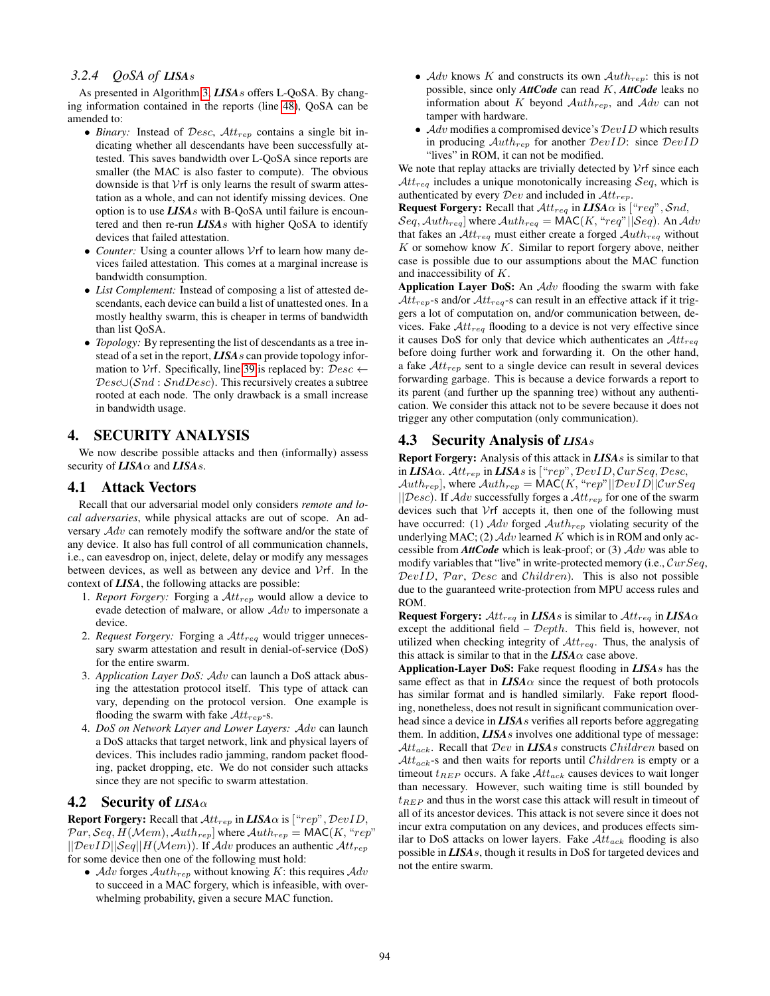### *3.2.4 QoSA of LISA*s

As presented in Algorithm [3,](#page-6-1) *LISA*s offers L-QoSA. By changing information contained in the reports (line [48\)](#page-6-2), QoSA can be amended to:

- *Binary:* Instead of  $Desc$ ,  $Att_{rep}$  contains a single bit indicating whether all descendants have been successfully attested. This saves bandwidth over L-QoSA since reports are smaller (the MAC is also faster to compute). The obvious downside is that  $Vrf$  is only learns the result of swarm attestation as a whole, and can not identify missing devices. One option is to use *LISA*s with B-QoSA until failure is encountered and then re-run *LISA*s with higher QoSA to identify devices that failed attestation.
- *Counter*: Using a counter allows Vrf to learn how many devices failed attestation. This comes at a marginal increase is bandwidth consumption.
- *List Complement:* Instead of composing a list of attested descendants, each device can build a list of unattested ones. In a mostly healthy swarm, this is cheaper in terms of bandwidth than list QoSA.
- *Topology:* By representing the list of descendants as a tree instead of a set in the report, *LISA*s can provide topology infor-mation to Vrf. Specifically, line [39](#page-6-3) is replaced by:  $Desc \leftarrow$  $Desc\cup (Snd : SndDesc)$ . This recursively creates a subtree rooted at each node. The only drawback is a small increase in bandwidth usage.

### <span id="page-8-0"></span>4. SECURITY ANALYSIS

We now describe possible attacks and then (informally) assess security of  $LISA\alpha$  and  $LISAs$ .

### 4.1 Attack Vectors

Recall that our adversarial model only considers *remote and local adversaries*, while physical attacks are out of scope. An adversary Adv can remotely modify the software and/or the state of any device. It also has full control of all communication channels, i.e., can eavesdrop on, inject, delete, delay or modify any messages between devices, as well as between any device and Vrf. In the context of *LISA*, the following attacks are possible:

- 1. *Report Forgery:* Forging a  $Att_{rep}$  would allow a device to evade detection of malware, or allow  $Adv$  to impersonate a device.
- 2. *Request Forgery:* Forging a  $Att_{req}$  would trigger unnecessary swarm attestation and result in denial-of-service (DoS) for the entire swarm.
- 3. *Application Layer DoS:* Adv can launch a DoS attack abusing the attestation protocol itself. This type of attack can vary, depending on the protocol version. One example is flooding the swarm with fake  $Att_{rep}$ -s.
- 4. *DoS on Network Layer and Lower Layers:* Adv can launch a DoS attacks that target network, link and physical layers of devices. This includes radio jamming, random packet flooding, packet dropping, etc. We do not consider such attacks since they are not specific to swarm attestation.

### 4.2 Security of *LISA*α

**Report Forgery:** Recall that  $Att_{rep}$  in  $\text{LISA}\alpha$  is ["rep",  $DevID$ ,  $Par, Seq, H(Mem), \mathcal{A}uth_{rep}$ ] where  $\mathcal{A}uth_{rep} = \text{MAC}(K, "rep")$  $||DevID||Seq||H(Mem)$ . If  $Adv$  produces an authentic  $Att_{rep}$ for some device then one of the following must hold:

• Adv forges  $\mathcal{A}uth_{rep}$  without knowing K: this requires  $\mathcal{A} dv$ to succeed in a MAC forgery, which is infeasible, with overwhelming probability, given a secure MAC function.

- Adv knows K and constructs its own  $\mathcal{A}uth_{rep}$ : this is not possible, since only *AttCode* can read K, *AttCode* leaks no information about K beyond  $\mathcal{A}uth_{rep}$ , and  $\mathcal{A}dv$  can not tamper with hardware.
- $Adv$  modifies a compromised device's  $DevID$  which results in producing  $\mathcal{A}uth_{rep}$  for another  $DevID$ : since  $DevID$ "lives" in ROM, it can not be modified.

We note that replay attacks are trivially detected by  $Vrf$  since each  $Att_{req}$  includes a unique monotonically increasing  $Seq$ , which is authenticated by every  $Dev$  and included in  $Att_{rep}$ .

**Request Forgery:** Recall that  $Att_{req}$  in  $\text{LISA}\alpha$  is ["req", Snd,  $Seq$ ,  $\mathcal{A}uth_{req}$ ] where  $\mathcal{A}uth_{req} = \textsf{MAC}(K, "req" || \mathcal{S}eq)$ . An  $\mathcal{A} dv$ that fakes an  $Att_{req}$  must either create a forged  $Auth_{req}$  without  $K$  or somehow know  $K$ . Similar to report forgery above, neither case is possible due to our assumptions about the MAC function and inaccessibility of K.

Application Layer DoS: An  $Adv$  flooding the swarm with fake  $Att_{rep}$ -s and/or  $Att_{req}$ -s can result in an effective attack if it triggers a lot of computation on, and/or communication between, devices. Fake  $Att_{req}$  flooding to a device is not very effective since it causes DoS for only that device which authenticates an  $Att_{req}$ before doing further work and forwarding it. On the other hand, a fake  $Att_{rep}$  sent to a single device can result in several devices forwarding garbage. This is because a device forwards a report to its parent (and further up the spanning tree) without any authentication. We consider this attack not to be severe because it does not trigger any other computation (only communication).

### 4.3 Security Analysis of *LISA*s

Report Forgery: Analysis of this attack in *LISA*s is similar to that in *LISA*α. Att<sub>rep</sub> in *LISAs* is ["rep", DevID, CurSeq, Desc,  $Authorep]$ , where  $Author_{rep} = MAC(K, "rep" || DevID || CurSeq$  $||$ Desc). If  $Adv$  successfully forges a  $Att_{rep}$  for one of the swarm devices such that Vrf accepts it, then one of the following must have occurred: (1)  $Adv$  forged  $Auth_{rep}$  violating security of the underlying MAC; (2)  $Adv$  learned K which is in ROM and only accessible from *AttCode* which is leak-proof; or (3) Adv was able to modify variables that "live" in write-protected memory (i.e.,  $CurSeq$ ,  $DevID, Par, Desc and Children$ ). This is also not possible due to the guaranteed write-protection from MPU access rules and ROM.

**Request Forgery:**  $Att_{req}$  in *LISAs* is similar to  $Att_{req}$  in *LISA* $\alpha$ except the additional field –  $Depth$ . This field is, however, not utilized when checking integrity of  $Att_{req}$ . Thus, the analysis of this attack is similar to that in the  $LISA\alpha$  case above.

Application-Layer DoS: Fake request flooding in *LISA*s has the same effect as that in  $LISA\alpha$  since the request of both protocols has similar format and is handled similarly. Fake report flooding, nonetheless, does not result in significant communication overhead since a device in *LISA*s verifies all reports before aggregating them. In addition, *LISA*s involves one additional type of message:  $Att_{ack}$ . Recall that  $Dev$  in *LISAs* constructs *Children* based on  $Att_{ack}$ -s and then waits for reports until  $Children$  is empty or a timeout  $t_{REF}$  occurs. A fake  $Att_{ack}$  causes devices to wait longer than necessary. However, such waiting time is still bounded by  $t_{REF}$  and thus in the worst case this attack will result in timeout of all of its ancestor devices. This attack is not severe since it does not incur extra computation on any devices, and produces effects similar to DoS attacks on lower layers. Fake  $Att_{ack}$  flooding is also possible in *LISA*s, though it results in DoS for targeted devices and not the entire swarm.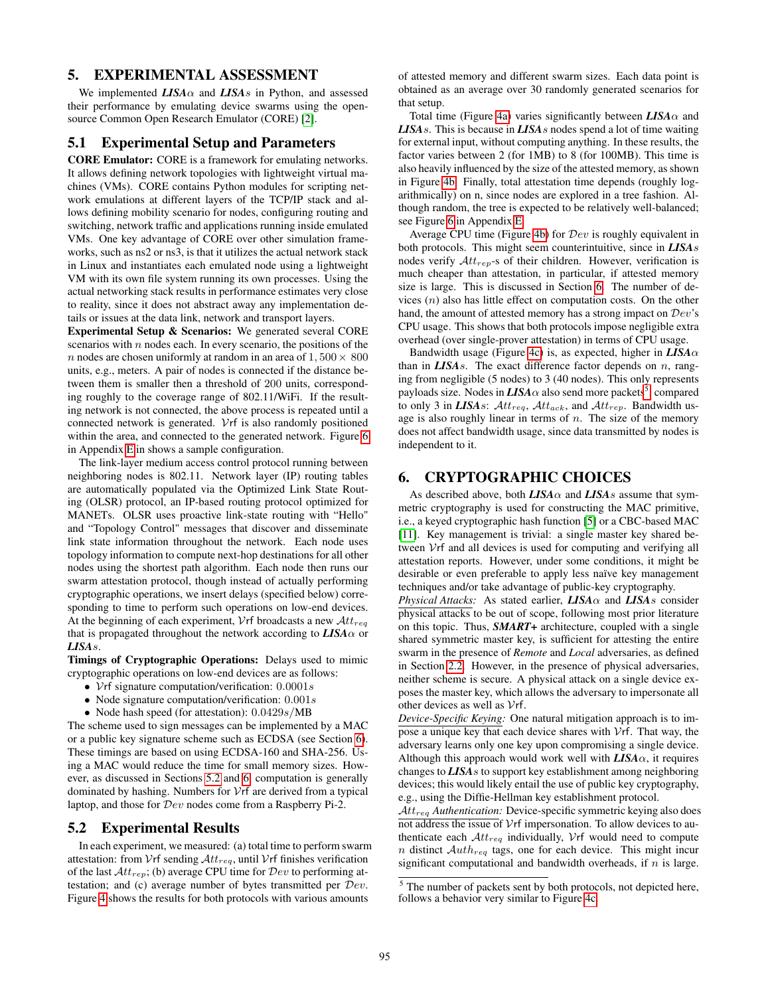# <span id="page-9-0"></span>5. EXPERIMENTAL ASSESSMENT

We implemented  $LISA\alpha$  and  $LISA\beta$  in Python, and assessed their performance by emulating device swarms using the opensource Common Open Research Emulator (CORE) [\[2\]](#page-11-11).

### 5.1 Experimental Setup and Parameters

CORE Emulator: CORE is a framework for emulating networks. It allows defining network topologies with lightweight virtual machines (VMs). CORE contains Python modules for scripting network emulations at different layers of the TCP/IP stack and allows defining mobility scenario for nodes, configuring routing and switching, network traffic and applications running inside emulated VMs. One key advantage of CORE over other simulation frameworks, such as ns2 or ns3, is that it utilizes the actual network stack in Linux and instantiates each emulated node using a lightweight VM with its own file system running its own processes. Using the actual networking stack results in performance estimates very close to reality, since it does not abstract away any implementation details or issues at the data link, network and transport layers.

Experimental Setup & Scenarios: We generated several CORE scenarios with  $n$  nodes each. In every scenario, the positions of the *n* nodes are chosen uniformly at random in an area of  $1,500 \times 800$ units, e.g., meters. A pair of nodes is connected if the distance between them is smaller then a threshold of 200 units, corresponding roughly to the coverage range of 802.11/WiFi. If the resulting network is not connected, the above process is repeated until a connected network is generated. Vrf is also randomly positioned within the area, and connected to the generated network. Figure [6](#page-14-0) in Appendix [E](#page-14-1) in shows a sample configuration.

The link-layer medium access control protocol running between neighboring nodes is 802.11. Network layer (IP) routing tables are automatically populated via the Optimized Link State Routing (OLSR) protocol, an IP-based routing protocol optimized for MANETs. OLSR uses proactive link-state routing with "Hello" and "Topology Control" messages that discover and disseminate link state information throughout the network. Each node uses topology information to compute next-hop destinations for all other nodes using the shortest path algorithm. Each node then runs our swarm attestation protocol, though instead of actually performing cryptographic operations, we insert delays (specified below) corresponding to time to perform such operations on low-end devices. At the beginning of each experiment, Vrf broadcasts a new  $\mathcal{A}tt_{req}$ that is propagated throughout the network according to  $LISA\alpha$  or *LISA*s.

Timings of Cryptographic Operations: Delays used to mimic cryptographic operations on low-end devices are as follows:

- Vrf signature computation/verification: 0.0001s
- Node signature computation/verification: 0.001s
- Node hash speed (for attestation):  $0.0429s/MB$

The scheme used to sign messages can be implemented by a MAC or a public key signature scheme such as ECDSA (see Section [6\)](#page-9-1). These timings are based on using ECDSA-160 and SHA-256. Using a MAC would reduce the time for small memory sizes. However, as discussed in Sections [5.2](#page-9-2) and [6,](#page-9-1) computation is generally dominated by hashing. Numbers for Vrf are derived from a typical laptop, and those for Dev nodes come from a Raspberry Pi-2.

### <span id="page-9-2"></span>5.2 Experimental Results

In each experiment, we measured: (a) total time to perform swarm attestation: from Vrf sending  $Att_{rea}$ , until Vrf finishes verification of the last  $Att_{rep}$ ; (b) average CPU time for  $Dev$  to performing attestation; and (c) average number of bytes transmitted per Dev. Figure [4](#page-10-0) shows the results for both protocols with various amounts

of attested memory and different swarm sizes. Each data point is obtained as an average over 30 randomly generated scenarios for that setup.

Total time (Figure [4a\)](#page-10-0) varies significantly between  $LISA\alpha$  and *LISA*s. This is because in *LISA*s nodes spend a lot of time waiting for external input, without computing anything. In these results, the factor varies between 2 (for 1MB) to 8 (for 100MB). This time is also heavily influenced by the size of the attested memory, as shown in Figure [4b.](#page-10-0) Finally, total attestation time depends (roughly logarithmically) on n, since nodes are explored in a tree fashion. Although random, the tree is expected to be relatively well-balanced; see Figure [6](#page-14-0) in Appendix [E.](#page-14-1)

Average CPU time (Figure [4b\)](#page-10-0) for Dev is roughly equivalent in both protocols. This might seem counterintuitive, since in *LISA*s nodes verify  $Att_{rep}$ -s of their children. However, verification is much cheaper than attestation, in particular, if attested memory size is large. This is discussed in Section [6.](#page-9-1) The number of devices  $(n)$  also has little effect on computation costs. On the other hand, the amount of attested memory has a strong impact on Dev's CPU usage. This shows that both protocols impose negligible extra overhead (over single-prover attestation) in terms of CPU usage.

Bandwidth usage (Figure [4c\)](#page-10-0) is, as expected, higher in *LISA*α than in  $LISA$ s. The exact difference factor depends on  $n$ , ranging from negligible (5 nodes) to 3 (40 nodes). This only represents payloads size. Nodes in  $LISA\alpha$  also send more packets<sup>[5](#page-9-3)</sup>, compared to only 3 in *LISAs*:  $Att_{req}$ ,  $Att_{ack}$ , and  $Att_{rep}$ . Bandwidth usage is also roughly linear in terms of  $n$ . The size of the memory does not affect bandwidth usage, since data transmitted by nodes is independent to it.

# <span id="page-9-1"></span>6. CRYPTOGRAPHIC CHOICES

As described above, both  $LISA\alpha$  and  $LISA\alpha$  assume that symmetric cryptography is used for constructing the MAC primitive, i.e., a keyed cryptographic hash function [\[5\]](#page-11-18) or a CBC-based MAC [\[11\]](#page-11-19). Key management is trivial: a single master key shared between Vrf and all devices is used for computing and verifying all attestation reports. However, under some conditions, it might be desirable or even preferable to apply less naïve key management techniques and/or take advantage of public-key cryptography.

*Physical Attacks:* As stated earlier, *LISA*α and *LISA*s consider physical attacks to be out of scope, following most prior literature on this topic. Thus, *SMART+* architecture, coupled with a single shared symmetric master key, is sufficient for attesting the entire swarm in the presence of *Remote* and *Local* adversaries, as defined in Section [2.2.](#page-2-2) However, in the presence of physical adversaries, neither scheme is secure. A physical attack on a single device exposes the master key, which allows the adversary to impersonate all other devices as well as Vrf.

*Device-Specific Keying:* One natural mitigation approach is to impose a unique key that each device shares with Vrf. That way, the adversary learns only one key upon compromising a single device. Although this approach would work well with  $LISA\alpha$ , it requires changes to *LISA*s to support key establishment among neighboring devices; this would likely entail the use of public key cryptography, e.g., using the Diffie-Hellman key establishment protocol.

Att<sub>req</sub> Authentication: Device-specific symmetric keying also does not address the issue of Vrf impersonation. To allow devices to authenticate each  $Att_{req}$  individually,  $Vrf$  would need to compute  $n$  distinct  $\mathcal{A}uth_{req}$  tags, one for each device. This might incur significant computational and bandwidth overheads, if  $n$  is large.

<span id="page-9-3"></span><sup>&</sup>lt;sup>5</sup> The number of packets sent by both protocols, not depicted here, follows a behavior very similar to Figure [4c.](#page-10-0)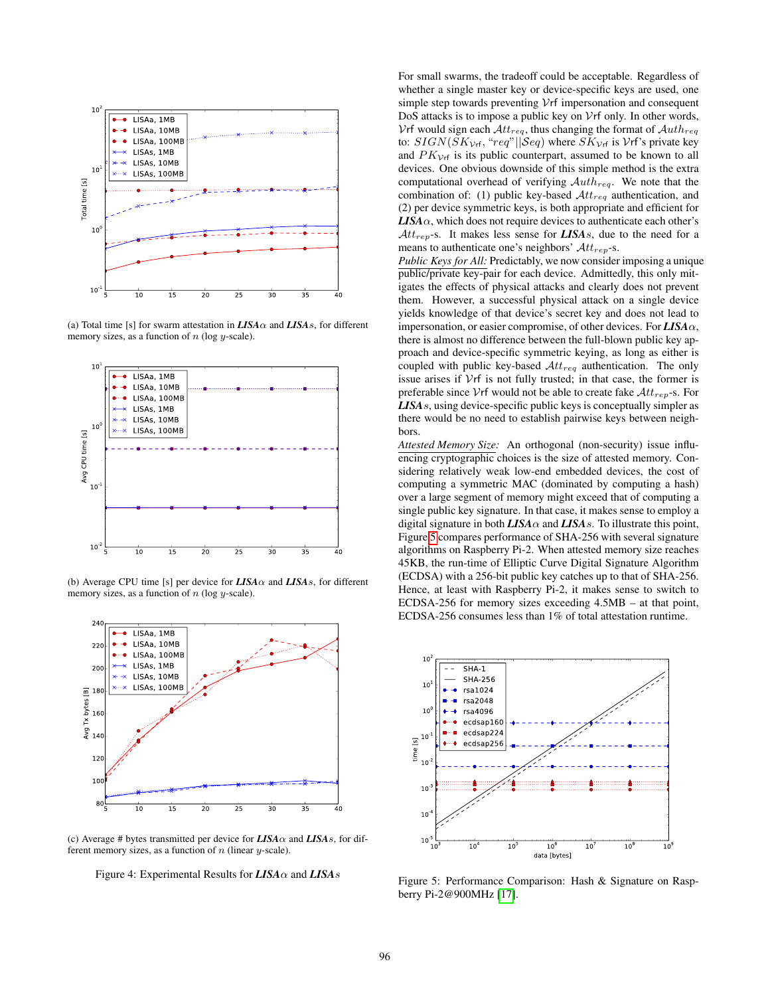<span id="page-10-0"></span>

(a) Total time [s] for swarm attestation in  $LISA\alpha$  and  $LISAs$ , for different memory sizes, as a function of  $n$  (log  $y$ -scale).



(b) Average CPU time [s] per device for  $LISA\alpha$  and  $LISAs$ , for different memory sizes, as a function of  $n$  (log  $y$ -scale).



(c) Average # bytes transmitted per device for  $LISA\alpha$  and  $LISA$ s, for different memory sizes, as a function of  $n$  (linear  $y$ -scale).



For small swarms, the tradeoff could be acceptable. Regardless of whether a single master key or device-specific keys are used, one simple step towards preventing Vrf impersonation and consequent DoS attacks is to impose a public key on Vrf only. In other words, Vrf would sign each  $Att_{req}$ , thus changing the format of  $Auth_{req}$ to:  $SIGN(SK_{Vrf}, "req" || Seq)$  where  $SK_{Vrf}$  is Vrf's private key and  $PK_{Vf}$  is its public counterpart, assumed to be known to all devices. One obvious downside of this simple method is the extra computational overhead of verifying  $\mathcal{A}uth_{req}$ . We note that the combination of: (1) public key-based  $Att_{req}$  authentication, and (2) per device symmetric keys, is both appropriate and efficient for  $LISA\alpha$ , which does not require devices to authenticate each other's  $Att_{rep}$ -s. It makes less sense for  $LISA$ s, due to the need for a means to authenticate one's neighbors'  $Att_{rep}$ -s.

*Public Keys for All:* Predictably, we now consider imposing a unique public/private key-pair for each device. Admittedly, this only mitigates the effects of physical attacks and clearly does not prevent them. However, a successful physical attack on a single device yields knowledge of that device's secret key and does not lead to impersonation, or easier compromise, of other devices. For *LISA*α, there is almost no difference between the full-blown public key approach and device-specific symmetric keying, as long as either is coupled with public key-based  $Att_{req}$  authentication. The only issue arises if Vrf is not fully trusted; in that case, the former is preferable since Vrf would not be able to create fake  $Att_{rep}$ -s. For *LISA*s, using device-specific public keys is conceptually simpler as there would be no need to establish pairwise keys between neighbors.

*Attested Memory Size:* An orthogonal (non-security) issue influencing cryptographic choices is the size of attested memory. Considering relatively weak low-end embedded devices, the cost of computing a symmetric MAC (dominated by computing a hash) over a large segment of memory might exceed that of computing a single public key signature. In that case, it makes sense to employ a digital signature in both  $LISA\alpha$  and  $LISAs$ . To illustrate this point, Figure [5](#page-10-1) compares performance of SHA-256 with several signature algorithms on Raspberry Pi-2. When attested memory size reaches 45KB, the run-time of Elliptic Curve Digital Signature Algorithm (ECDSA) with a 256-bit public key catches up to that of SHA-256. Hence, at least with Raspberry Pi-2, it makes sense to switch to ECDSA-256 for memory sizes exceeding 4.5MB – at that point, ECDSA-256 consumes less than 1% of total attestation runtime.

<span id="page-10-1"></span>

Figure 5: Performance Comparison: Hash & Signature on Raspberry Pi-2@900MHz [\[17\]](#page-11-20).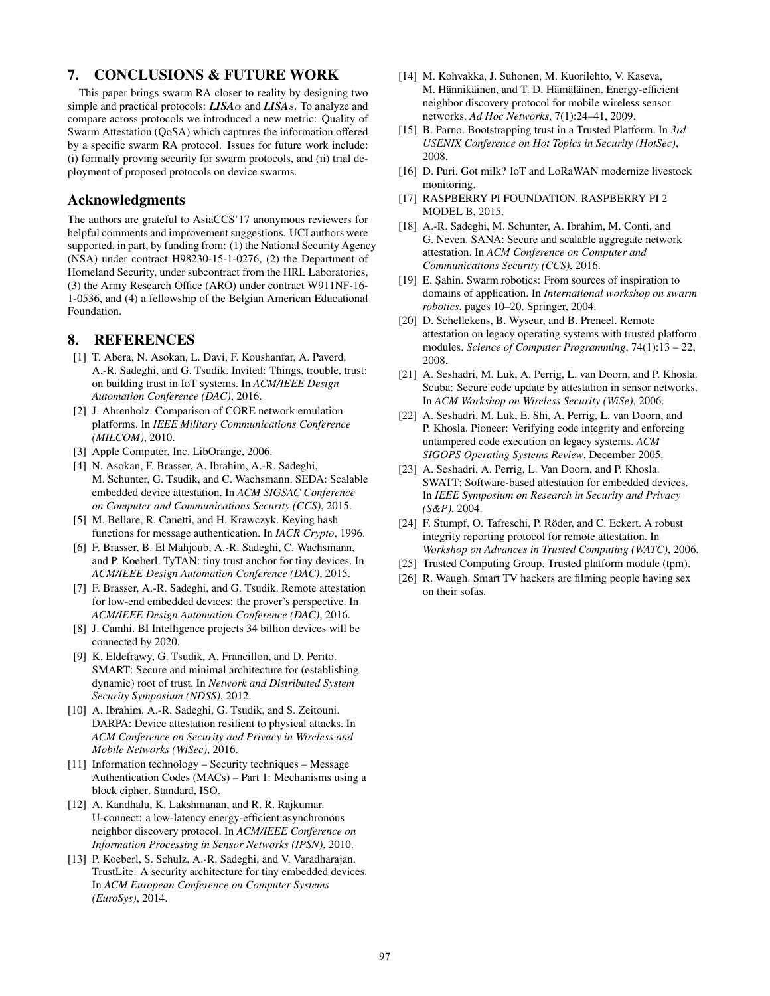# <span id="page-11-12"></span>7. CONCLUSIONS & FUTURE WORK

This paper brings swarm RA closer to reality by designing two simple and practical protocols:  $\text{LISA}\alpha$  and  $\text{LISA}s$ . To analyze and compare across protocols we introduced a new metric: Quality of Swarm Attestation (QoSA) which captures the information offered by a specific swarm RA protocol. Issues for future work include: (i) formally proving security for swarm protocols, and (ii) trial deployment of proposed protocols on device swarms.

# Acknowledgments

The authors are grateful to AsiaCCS'17 anonymous reviewers for helpful comments and improvement suggestions. UCI authors were supported, in part, by funding from: (1) the National Security Agency (NSA) under contract H98230-15-1-0276, (2) the Department of Homeland Security, under subcontract from the HRL Laboratories, (3) the Army Research Office (ARO) under contract W911NF-16- 1-0536, and (4) a fellowship of the Belgian American Educational Foundation.

### 8. REFERENCES

- <span id="page-11-15"></span>[1] T. Abera, N. Asokan, L. Davi, F. Koushanfar, A. Paverd, A.-R. Sadeghi, and G. Tsudik. Invited: Things, trouble, trust: on building trust in IoT systems. In *ACM/IEEE Design Automation Conference (DAC)*, 2016.
- <span id="page-11-11"></span>[2] J. Ahrenholz. Comparison of CORE network emulation platforms. In *IEEE Military Communications Conference (MILCOM)*, 2010.
- <span id="page-11-26"></span>[3] Apple Computer, Inc. LibOrange, 2006.
- <span id="page-11-10"></span>[4] N. Asokan, F. Brasser, A. Ibrahim, A.-R. Sadeghi, M. Schunter, G. Tsudik, and C. Wachsmann. SEDA: Scalable embedded device attestation. In *ACM SIGSAC Conference on Computer and Communications Security (CCS)*, 2015.
- <span id="page-11-18"></span>[5] M. Bellare, R. Canetti, and H. Krawczyk. Keying hash functions for message authentication. In *IACR Crypto*, 1996.
- <span id="page-11-24"></span>[6] F. Brasser, B. El Mahjoub, A.-R. Sadeghi, C. Wachsmann, and P. Koeberl. TyTAN: tiny trust anchor for tiny devices. In *ACM/IEEE Design Automation Conference (DAC)*, 2015.
- <span id="page-11-14"></span>[7] F. Brasser, A.-R. Sadeghi, and G. Tsudik. Remote attestation for low-end embedded devices: the prover's perspective. In *ACM/IEEE Design Automation Conference (DAC)*, 2016.
- <span id="page-11-0"></span>[8] J. Camhi. BI Intelligence projects 34 billion devices will be connected by 2020.
- <span id="page-11-8"></span>[9] K. Eldefrawy, G. Tsudik, A. Francillon, and D. Perito. SMART: Secure and minimal architecture for (establishing dynamic) root of trust. In *Network and Distributed System Security Symposium (NDSS)*, 2012.
- <span id="page-11-13"></span>[10] A. Ibrahim, A.-R. Sadeghi, G. Tsudik, and S. Zeitouni. DARPA: Device attestation resilient to physical attacks. In *ACM Conference on Security and Privacy in Wireless and Mobile Networks (WiSec)*, 2016.
- <span id="page-11-19"></span>[11] Information technology – Security techniques – Message Authentication Codes (MACs) – Part 1: Mechanisms using a block cipher. Standard, ISO.
- <span id="page-11-16"></span>[12] A. Kandhalu, K. Lakshmanan, and R. R. Rajkumar. U-connect: a low-latency energy-efficient asynchronous neighbor discovery protocol. In *ACM/IEEE Conference on Information Processing in Sensor Networks (IPSN)*, 2010.
- <span id="page-11-9"></span>[13] P. Koeberl, S. Schulz, A.-R. Sadeghi, and V. Varadharajan. TrustLite: A security architecture for tiny embedded devices. In *ACM European Conference on Computer Systems (EuroSys)*, 2014.
- <span id="page-11-17"></span>[14] M. Kohvakka, J. Suhonen, M. Kuorilehto, V. Kaseva, M. Hännikäinen, and T. D. Hämäläinen. Energy-efficient neighbor discovery protocol for mobile wireless sensor networks. *Ad Hoc Networks*, 7(1):24–41, 2009.
- <span id="page-11-23"></span>[15] B. Parno. Bootstrapping trust in a Trusted Platform. In *3rd USENIX Conference on Hot Topics in Security (HotSec)*, 2008.
- <span id="page-11-1"></span>[16] D. Puri. Got milk? IoT and LoRaWAN modernize livestock monitoring.
- <span id="page-11-20"></span>[17] RASPBERRY PI FOUNDATION. RASPBERRY PI 2 MODEL B, 2015.
- <span id="page-11-25"></span>[18] A.-R. Sadeghi, M. Schunter, A. Ibrahim, M. Conti, and G. Neven. SANA: Secure and scalable aggregate network attestation. In *ACM Conference on Computer and Communications Security (CCS)*, 2016.
- <span id="page-11-2"></span>[19] E. Şahin. Swarm robotics: From sources of inspiration to domains of application. In *International workshop on swarm robotics*, pages 10–20. Springer, 2004.
- <span id="page-11-5"></span>[20] D. Schellekens, B. Wyseur, and B. Preneel. Remote attestation on legacy operating systems with trusted platform modules. *Science of Computer Programming*, 74(1):13 – 22, 2008.
- <span id="page-11-7"></span>[21] A. Seshadri, M. Luk, A. Perrig, L. van Doorn, and P. Khosla. Scuba: Secure code update by attestation in sensor networks. In *ACM Workshop on Wireless Security (WiSe)*, 2006.
- <span id="page-11-22"></span>[22] A. Seshadri, M. Luk, E. Shi, A. Perrig, L. van Doorn, and P. Khosla. Pioneer: Verifying code integrity and enforcing untampered code execution on legacy systems. *ACM SIGOPS Operating Systems Review*, December 2005.
- <span id="page-11-6"></span>[23] A. Seshadri, A. Perrig, L. Van Doorn, and P. Khosla. SWATT: Software-based attestation for embedded devices. In *IEEE Symposium on Research in Security and Privacy (S&P)*, 2004.
- <span id="page-11-4"></span>[24] F. Stumpf, O. Tafreschi, P. Röder, and C. Eckert. A robust integrity reporting protocol for remote attestation. In *Workshop on Advances in Trusted Computing (WATC)*, 2006.
- <span id="page-11-21"></span>[25] Trusted Computing Group. Trusted platform module (tpm).
- <span id="page-11-3"></span>[26] R. Waugh. Smart TV hackers are filming people having sex on their sofas.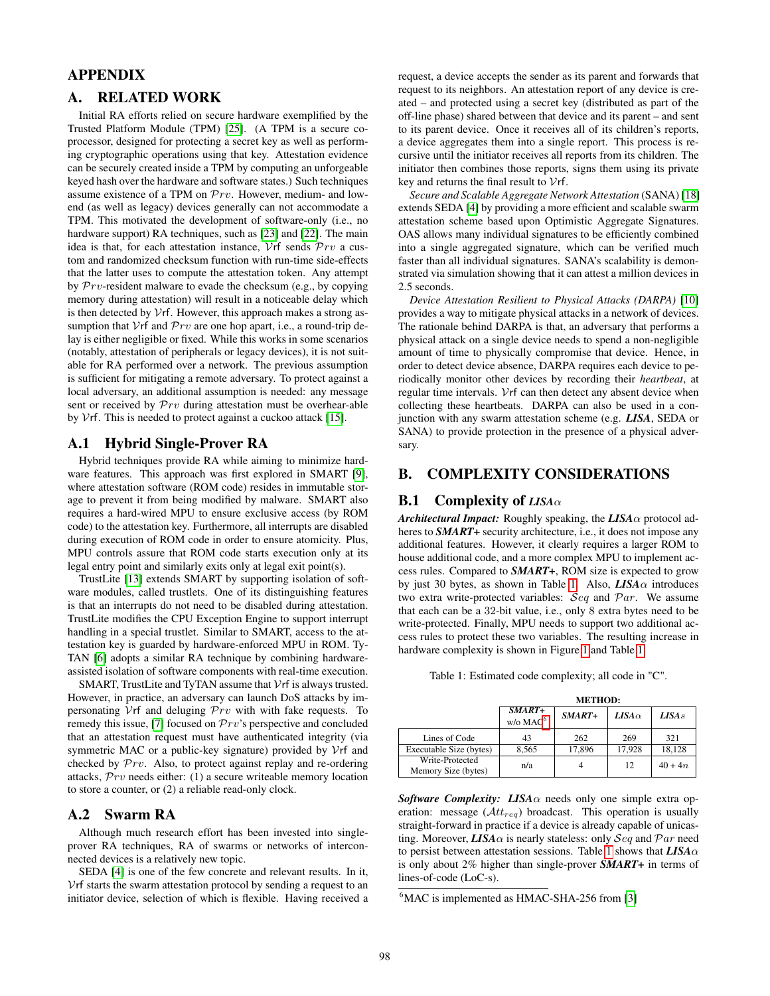# APPENDIX

# <span id="page-12-0"></span>A. RELATED WORK

Initial RA efforts relied on secure hardware exemplified by the Trusted Platform Module (TPM) [\[25\]](#page-11-21). (A TPM is a secure coprocessor, designed for protecting a secret key as well as performing cryptographic operations using that key. Attestation evidence can be securely created inside a TPM by computing an unforgeable keyed hash over the hardware and software states.) Such techniques assume existence of a TPM on Prv. However, medium- and lowend (as well as legacy) devices generally can not accommodate a TPM. This motivated the development of software-only (i.e., no hardware support) RA techniques, such as [\[23\]](#page-11-6) and [\[22\]](#page-11-22). The main idea is that, for each attestation instance,  $V$ rf sends  $Prv$  a custom and randomized checksum function with run-time side-effects that the latter uses to compute the attestation token. Any attempt by  $\mathcal{P}rv$ -resident malware to evade the checksum (e.g., by copying memory during attestation) will result in a noticeable delay which is then detected by Vrf. However, this approach makes a strong assumption that  $Vrf$  and  $Prv$  are one hop apart, i.e., a round-trip delay is either negligible or fixed. While this works in some scenarios (notably, attestation of peripherals or legacy devices), it is not suitable for RA performed over a network. The previous assumption is sufficient for mitigating a remote adversary. To protect against a local adversary, an additional assumption is needed: any message sent or received by  $\mathcal{P}rv$  during attestation must be overhear-able by Vrf. This is needed to protect against a cuckoo attack [\[15\]](#page-11-23).

### A.1 Hybrid Single-Prover RA

Hybrid techniques provide RA while aiming to minimize hardware features. This approach was first explored in SMART [\[9\]](#page-11-8), where attestation software (ROM code) resides in immutable storage to prevent it from being modified by malware. SMART also requires a hard-wired MPU to ensure exclusive access (by ROM code) to the attestation key. Furthermore, all interrupts are disabled during execution of ROM code in order to ensure atomicity. Plus, MPU controls assure that ROM code starts execution only at its legal entry point and similarly exits only at legal exit point(s).

TrustLite [\[13\]](#page-11-9) extends SMART by supporting isolation of software modules, called trustlets. One of its distinguishing features is that an interrupts do not need to be disabled during attestation. TrustLite modifies the CPU Exception Engine to support interrupt handling in a special trustlet. Similar to SMART, access to the attestation key is guarded by hardware-enforced MPU in ROM. Ty-TAN [\[6\]](#page-11-24) adopts a similar RA technique by combining hardwareassisted isolation of software components with real-time execution.

SMART, TrustLite and TyTAN assume that  $V$ rf is always trusted. However, in practice, an adversary can launch DoS attacks by impersonating  $Vrf$  and deluging  $Prv$  with with fake requests. To remedy this issue, [\[7\]](#page-11-14) focused on  $\mathcal{P}rv$ 's perspective and concluded that an attestation request must have authenticated integrity (via symmetric MAC or a public-key signature) provided by  $Vrf$  and checked by  $\mathcal{P}rv$ . Also, to protect against replay and re-ordering attacks, Prv needs either: (1) a secure writeable memory location to store a counter, or (2) a reliable read-only clock.

### A.2 Swarm RA

Although much research effort has been invested into singleprover RA techniques, RA of swarms or networks of interconnected devices is a relatively new topic.

SEDA [\[4\]](#page-11-10) is one of the few concrete and relevant results. In it, Vrf starts the swarm attestation protocol by sending a request to an initiator device, selection of which is flexible. Having received a request, a device accepts the sender as its parent and forwards that request to its neighbors. An attestation report of any device is created – and protected using a secret key (distributed as part of the off-line phase) shared between that device and its parent – and sent to its parent device. Once it receives all of its children's reports, a device aggregates them into a single report. This process is recursive until the initiator receives all reports from its children. The initiator then combines those reports, signs them using its private key and returns the final result to  $Vrf$ .

*Secure and Scalable Aggregate Network Attestation* (SANA) [\[18\]](#page-11-25) extends SEDA [\[4\]](#page-11-10) by providing a more efficient and scalable swarm attestation scheme based upon Optimistic Aggregate Signatures. OAS allows many individual signatures to be efficiently combined into a single aggregated signature, which can be verified much faster than all individual signatures. SANA's scalability is demonstrated via simulation showing that it can attest a million devices in 2.5 seconds.

*Device Attestation Resilient to Physical Attacks (DARPA)* [\[10\]](#page-11-13) provides a way to mitigate physical attacks in a network of devices. The rationale behind DARPA is that, an adversary that performs a physical attack on a single device needs to spend a non-negligible amount of time to physically compromise that device. Hence, in order to detect device absence, DARPA requires each device to periodically monitor other devices by recording their *heartbeat*, at regular time intervals. Vrf can then detect any absent device when collecting these heartbeats. DARPA can also be used in a conjunction with any swarm attestation scheme (e.g. *LISA*, SEDA or SANA) to provide protection in the presence of a physical adversary.

# B. COMPLEXITY CONSIDERATIONS

### <span id="page-12-1"></span>B.1 Complexity of *LISA*α

*Architectural Impact:* Roughly speaking, the *LISA*α protocol adheres to *SMART+* security architecture, i.e., it does not impose any additional features. However, it clearly requires a larger ROM to house additional code, and a more complex MPU to implement access rules. Compared to *SMART+*, ROM size is expected to grow by just 30 bytes, as shown in Table [1.](#page-12-2) Also,  $LISA\alpha$  introduces two extra write-protected variables:  $\mathcal{S}eq$  and  $\mathcal{P}ar$ . We assume that each can be a 32-bit value, i.e., only 8 extra bytes need to be write-protected. Finally, MPU needs to support two additional access rules to protect these two variables. The resulting increase in hardware complexity is shown in Figure [1](#page-3-1) and Table [1.](#page-12-2)

| Table 1: Estimated code complexity; all code in "C". |  |  |  |
|------------------------------------------------------|--|--|--|
|                                                      |  |  |  |

<span id="page-12-2"></span>

|                                        | <b>METHOD:</b>                      |           |               |                   |  |
|----------------------------------------|-------------------------------------|-----------|---------------|-------------------|--|
|                                        | $SMARKT+$<br>$w/o$ MAC <sup>6</sup> | $SMARKT+$ | LISA $\alpha$ | LISA <sub>s</sub> |  |
| Lines of Code                          | 43                                  | 262       | 269           | 321               |  |
| Executable Size (bytes)                | 8,565                               | 17.896    | 17.928        | 18.128            |  |
| Write-Protected<br>Memory Size (bytes) | n/a                                 |           | 12            | $40 + 4n$         |  |

*Software Complexity: LISA*α needs only one simple extra operation: message  $(\mathcal{A}tt_{req})$  broadcast. This operation is usually straight-forward in practice if a device is already capable of unicasting. Moreover,  $LISA\alpha$  is nearly stateless: only  $Seq$  and  $Par$  need to persist between attestation sessions. Table [1](#page-12-2) shows that *LISA*α is only about 2% higher than single-prover *SMART+* in terms of lines-of-code (LoC-s).

<span id="page-12-3"></span><sup>6</sup>MAC is implemented as HMAC-SHA-256 from [\[3\]](#page-11-26)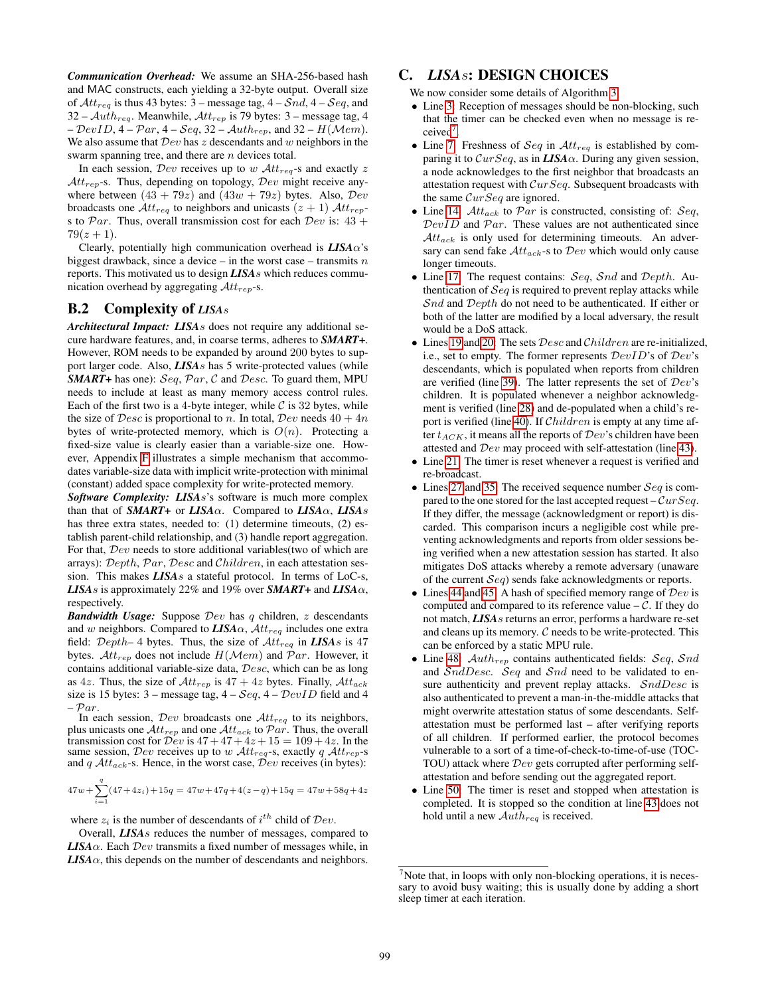*Communication Overhead:* We assume an SHA-256-based hash and MAC constructs, each yielding a 32-byte output. Overall size of  $Att_{req}$  is thus 43 bytes: 3 – message tag, 4 –  $Snd$ , 4 –  $Seq$ , and 32 –  $\mathcal{A}uth_{req}$ . Meanwhile,  $\mathcal{A}tt_{rep}$  is 79 bytes: 3 – message tag, 4  $DevID$ , 4 –  $Par$ , 4 –  $Seq$ , 32 –  $Author_{rep}$ , and 32 –  $H(Mem)$ . We also assume that  $Dev$  has z descendants and w neighbors in the swarm spanning tree, and there are *n* devices total.

In each session, Dev receives up to w  $Att_{req}$ -s and exactly z  $Att_{rep}$ -s. Thus, depending on topology,  $Dev$  might receive anywhere between  $(43 + 79z)$  and  $(43w + 79z)$  bytes. Also,  $Dev$ broadcasts one  $Att_{req}$  to neighbors and unicasts  $(z + 1)$   $Att_{rep}$ s to Par. Thus, overall transmission cost for each  $Dev$  is:  $43 +$  $79(z + 1)$ .

Clearly, potentially high communication overhead is *LISA*α's biggest drawback, since a device – in the worst case – transmits  $n$ reports. This motivated us to design *LISA*s which reduces communication overhead by aggregating  $Att_{rep}$ -s.

### B.2 Complexity of *LISA*s

*Architectural Impact: LISA*s does not require any additional secure hardware features, and, in coarse terms, adheres to *SMART+*. However, ROM needs to be expanded by around 200 bytes to support larger code. Also, *LISA*s has 5 write-protected values (while *SMART*+ has one): Seq, Par, C and Desc. To guard them, MPU needs to include at least as many memory access control rules. Each of the first two is a 4-byte integer, while  $\mathcal C$  is 32 bytes, while the size of  $Desc$  is proportional to n. In total,  $Dev$  needs  $40 + 4n$ bytes of write-protected memory, which is  $O(n)$ . Protecting a fixed-size value is clearly easier than a variable-size one. However, Appendix [F](#page-14-2) illustrates a simple mechanism that accommodates variable-size data with implicit write-protection with minimal (constant) added space complexity for write-protected memory.

*Software Complexity: LISA*s's software is much more complex than that of *SMART+* or *LISA*α. Compared to *LISA*α, *LISA*s has three extra states, needed to: (1) determine timeouts, (2) establish parent-child relationship, and (3) handle report aggregation. For that, Dev needs to store additional variables(two of which are arrays): Depth, Par, Desc and Children, in each attestation session. This makes *LISA*s a stateful protocol. In terms of LoC-s, *LISA*s is approximately 22% and 19% over *SMART+* and *LISA*α, respectively.

*Bandwidth Usage:* Suppose Dev has q children, z descendants and w neighbors. Compared to  $\text{LISA}\alpha$ ,  $\mathcal{A}tt_{req}$  includes one extra field:  $Depth-4$  bytes. Thus, the size of  $Att_{req}$  in  $LISAs$  is 47 bytes.  $Att_{rep}$  does not include  $H(\mathcal{M}em)$  and  $\mathcal{P}ar$ . However, it contains additional variable-size data, Desc, which can be as long as 4z. Thus, the size of  $\mathcal{A}tt_{rep}$  is 47 + 4z bytes. Finally,  $\mathcal{A}tt_{ack}$ size is 15 bytes:  $3$  – message tag,  $4 - Seq$ ,  $4 - DevID$  field and 4  $-$  Par.

In each session,  $Dev$  broadcasts one  $Att_{req}$  to its neighbors, plus unicasts one  $\mathcal{A}tt_{rep}$  and one  $\mathcal{A}tt_{ack}$  to  $\mathcal{P}ar$ . Thus, the overall transmission cost for  $\overline{Dev}$  is  $47 + 47 + 4z + 15 = 109 + 4z$ . In the same session, Dev receives up to w  $Att_{req}$ -s, exactly q  $Att_{rep}$ -s and q  $Att_{ack}$ -s. Hence, in the worst case,  $Dev$  receives (in bytes):

$$
47w + \sum_{i=1}^{q} (47 + 4z_i) + 15q = 47w + 47q + 4(z - q) + 15q = 47w + 58q + 4z
$$

where  $z_i$  is the number of descendants of  $i^{th}$  child of  $Dev$ .

Overall, *LISA*s reduces the number of messages, compared to  $LISA\alpha$ . Each  $Dev$  transmits a fixed number of messages while, in  $LISA\alpha$ , this depends on the number of descendants and neighbors.

# <span id="page-13-0"></span>C. *LISA*s: DESIGN CHOICES

We now consider some details of Algorithm [3.](#page-6-1)

- Line [3:](#page-6-4) Reception of messages should be non-blocking, such that the timer can be checked even when no message is re $c$ eived<sup>[7](#page-13-1)</sup>.
- Line [7:](#page-6-5) Freshness of Seq in  $Att_{req}$  is established by comparing it to CurSeq, as in *LISA*α. During any given session, a node acknowledges to the first neighbor that broadcasts an attestation request with  $CurSeq$ . Subsequent broadcasts with the same  $CurSeq$  are ignored.
- Line [14:](#page-6-6)  $Att_{ack}$  to  $Par$  is constructed, consisting of:  $Seq$ ,  $DevID$  and  $Par$ . These values are not authenticated since  $Att_{ack}$  is only used for determining timeouts. An adversary can send fake  $Att_{ack}$ -s to  $Dev$  which would only cause longer timeouts.
- Line [17:](#page-6-7) The request contains:  $Seq$ ,  $Snd$  and  $Depth$ . Authentication of  $\mathcal{S}eq$  is required to prevent replay attacks while  $Snd$  and  $Depth$  do not need to be authenticated. If either or both of the latter are modified by a local adversary, the result would be a DoS attack.
- Lines [19](#page-6-8) and [20:](#page-6-9) The sets  $Desc$  and  $Children$  are re-initialized, i.e., set to empty. The former represents  $DevID$ 's of  $Dev's$ descendants, which is populated when reports from children are verified (line [39\)](#page-6-3). The latter represents the set of  $Dev's$ children. It is populated whenever a neighbor acknowledgment is verified (line [28\)](#page-6-10) and de-populated when a child's re-port is verified (line [40\)](#page-6-11). If *Children* is empty at any time after  $t_{ACK}$ , it means all the reports of  $Dev's$  children have been attested and  $Dev$  may proceed with self-attestation (line [43\)](#page-6-12).
- Line [21:](#page-6-13) The timer is reset whenever a request is verified and re-broadcast.
- Lines [27](#page-6-14) and [35:](#page-6-15) The received sequence number  $Seq$  is compared to the one stored for the last accepted request –  $CurSeq$ . If they differ, the message (acknowledgment or report) is discarded. This comparison incurs a negligible cost while preventing acknowledgments and reports from older sessions being verified when a new attestation session has started. It also mitigates DoS attacks whereby a remote adversary (unaware of the current  $Seq$ ) sends fake acknowledgments or reports.
- Lines [44](#page-6-16) and [45:](#page-6-17) A hash of specified memory range of  $\mathcal{D}ev$  is computed and compared to its reference value  $-\mathcal{C}$ . If they do not match, *LISA*s returns an error, performs a hardware re-set and cleans up its memory.  $C$  needs to be write-protected. This can be enforced by a static MPU rule.
- Line [48:](#page-6-2)  $\mathcal{A}uth_{rep}$  contains authenticated fields: Seq, Snd and  $SndDesc.$  Seq and  $Snd$  need to be validated to ensure authenticity and prevent replay attacks. SndDesc is also authenticated to prevent a man-in-the-middle attacks that might overwrite attestation status of some descendants. Selfattestation must be performed last – after verifying reports of all children. If performed earlier, the protocol becomes vulnerable to a sort of a time-of-check-to-time-of-use (TOC-TOU) attack where  $Dev$  gets corrupted after performing selfattestation and before sending out the aggregated report.
- Line [50:](#page-6-18) The timer is reset and stopped when attestation is completed. It is stopped so the condition at line [43](#page-6-12) does not hold until a new  $\mathcal{A}uth_{req}$  is received.

<span id="page-13-1"></span> $7$ Note that, in loops with only non-blocking operations, it is necessary to avoid busy waiting; this is usually done by adding a short sleep timer at each iteration.